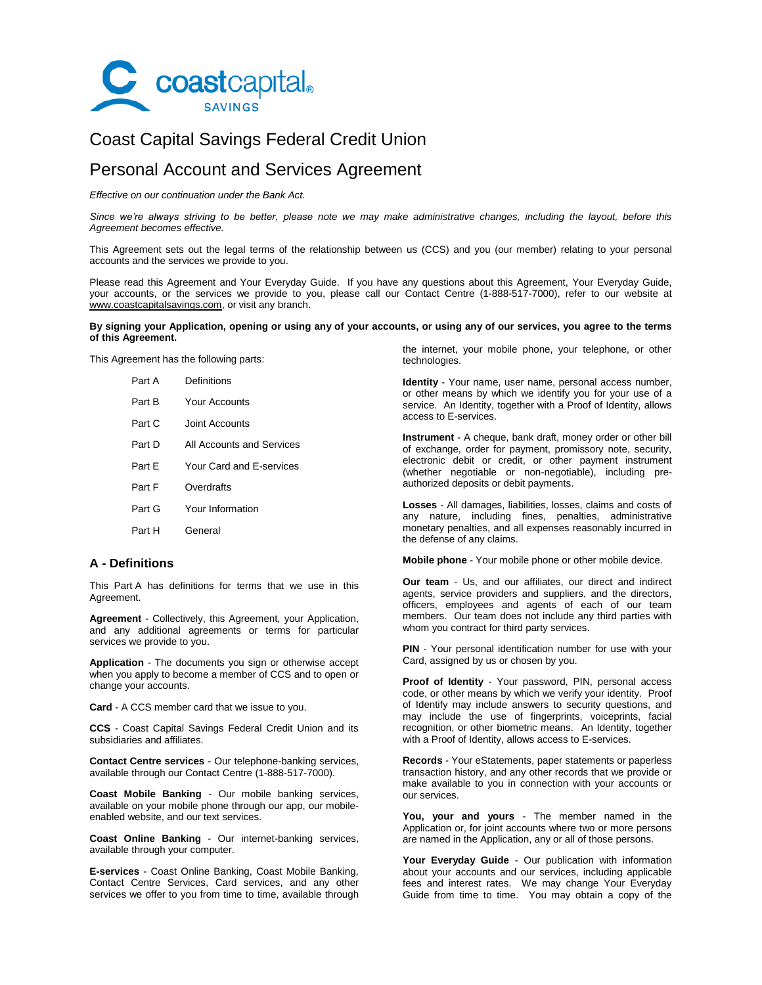

# Coast Capital Savings Federal Credit Union

# Personal Account and Services Agreement

*Effective on our continuation under the Bank Act.*

*Since we're always striving to be better, please note we may make administrative changes, including the layout, before this Agreement becomes effective.*

This Agreement sets out the legal terms of the relationship between us (CCS) and you (our member) relating to your personal accounts and the services we provide to you.

Please read this Agreement and Your Everyday Guide. If you have any questions about this Agreement, Your Everyday Guide, your accounts, or the services we provide to you, please call our Contact Centre (1-888-517-7000), refer to our website at www.coastcapitalsavings.com, or visit any branch.

### **By signing your Application, opening or using any of your accounts, or using any of our services, you agree to the terms of this Agreement.**

This Agreement has the following parts:

| Part A | Definitions               |
|--------|---------------------------|
| Part R | Your Accounts             |
| Part C | Joint Accounts            |
| Part D | All Accounts and Services |
| Part F | Your Card and F-services  |
| Part F | Overdrafts                |
| Part G | Your Information          |
| Part H | General                   |
|        |                           |

# **A - Definitions**

This Part A has definitions for terms that we use in this Agreement.

**Agreement** - Collectively, this Agreement, your Application, and any additional agreements or terms for particular services we provide to you.

**Application** - The documents you sign or otherwise accept when you apply to become a member of CCS and to open or change your accounts.

**Card** - A CCS member card that we issue to you.

**CCS** - Coast Capital Savings Federal Credit Union and its subsidiaries and affiliates.

**Contact Centre services** - Our telephone-banking services, available through our Contact Centre (1-888-517-7000).

**Coast Mobile Banking** - Our mobile banking services, available on your mobile phone through our app, our mobileenabled website, and our text services.

**Coast Online Banking** - Our internet-banking services, available through your computer.

**E-services** - Coast Online Banking, Coast Mobile Banking, Contact Centre Services, Card services, and any other services we offer to you from time to time, available through the internet, your mobile phone, your telephone, or other technologies.

**Identity** - Your name, user name, personal access number, or other means by which we identify you for your use of a service. An Identity, together with a Proof of Identity, allows access to E-services.

**Instrument** - A cheque, bank draft, money order or other bill of exchange, order for payment, promissory note, security, electronic debit or credit, or other payment instrument (whether negotiable or non-negotiable), including preauthorized deposits or debit payments.

**Losses** - All damages, liabilities, losses, claims and costs of any nature, including fines, penalties, administrative monetary penalties, and all expenses reasonably incurred in the defense of any claims.

**Mobile phone** - Your mobile phone or other mobile device.

**Our team** - Us, and our affiliates, our direct and indirect agents, service providers and suppliers, and the directors, officers, employees and agents of each of our team members. Our team does not include any third parties with whom you contract for third party services.

**PIN** - Your personal identification number for use with your Card, assigned by us or chosen by you.

**Proof of Identity** - Your password, PIN, personal access code, or other means by which we verify your identity. Proof of Identify may include answers to security questions, and may include the use of fingerprints, voiceprints, facial recognition, or other biometric means. An Identity, together with a Proof of Identity, allows access to E-services.

**Records** - Your eStatements, paper statements or paperless transaction history, and any other records that we provide or make available to you in connection with your accounts or our services.

**You, your and yours** - The member named in the Application or, for joint accounts where two or more persons are named in the Application, any or all of those persons.

**Your Everyday Guide** - Our publication with information about your accounts and our services, including applicable fees and interest rates. We may change Your Everyday Guide from time to time. You may obtain a copy of the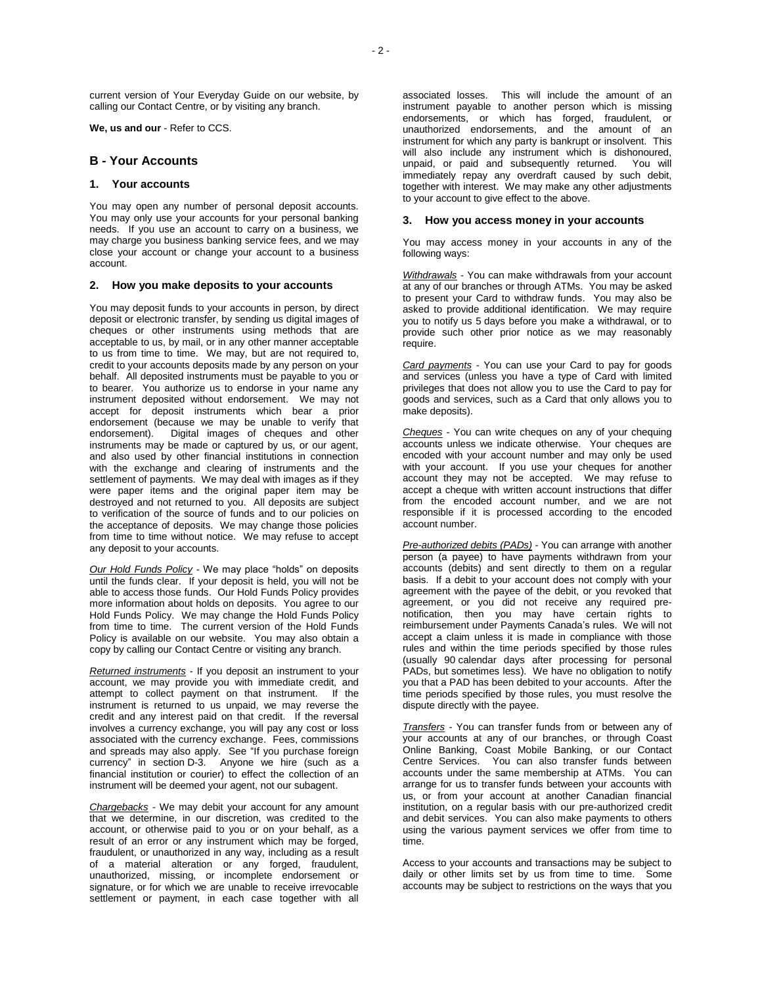current version of Your Everyday Guide on our website, by calling our Contact Centre, or by visiting any branch.

<span id="page-1-0"></span>**We, us and our** - Refer to CCS.

# **B - Your Accounts**

# **1. Your accounts**

You may open any number of personal deposit accounts. You may only use your accounts for your personal banking needs. If you use an account to carry on a business, we may charge you business banking service fees, and we may close your account or change your account to a business account.

### **2. How you make deposits to your accounts**

You may deposit funds to your accounts in person, by direct deposit or electronic transfer, by sending us digital images of cheques or other instruments using methods that are acceptable to us, by mail, or in any other manner acceptable to us from time to time. We may, but are not required to, credit to your accounts deposits made by any person on your behalf. All deposited instruments must be payable to you or to bearer. You authorize us to endorse in your name any instrument deposited without endorsement. We may not accept for deposit instruments which bear a prior endorsement (because we may be unable to verify that endorsement). Digital images of cheques and other instruments may be made or captured by us, or our agent, and also used by other financial institutions in connection with the exchange and clearing of instruments and the settlement of payments. We may deal with images as if they were paper items and the original paper item may be destroyed and not returned to you. All deposits are subject to verification of the source of funds and to our policies on the acceptance of deposits. We may change those policies from time to time without notice. We may refuse to accept any deposit to your accounts.

*Our Hold Funds Policy* - We may place "holds" on deposits until the funds clear. If your deposit is held, you will not be able to access those funds. Our Hold Funds Policy provides more information about holds on deposits. You agree to our Hold Funds Policy. We may change the Hold Funds Policy from time to time. The current version of the Hold Funds Policy is available on our website. You may also obtain a copy by calling our Contact Centre or visiting any branch.

*Returned instruments* - If you deposit an instrument to your account, we may provide you with immediate credit, and attempt to collect payment on that instrument. If the instrument is returned to us unpaid, we may reverse the credit and any interest paid on that credit. If the reversal involves a currency exchange, you will pay any cost or loss associated with the currency exchange. Fees, commissions and spreads may also apply. See "If you purchase foreign currency" in section D-3. Anyone we hire (such as a financial institution or courier) to effect the collection of an instrument will be deemed your agent, not our subagent.

*Chargebacks* - We may debit your account for any amount that we determine, in our discretion, was credited to the account, or otherwise paid to you or on your behalf, as a result of an error or any instrument which may be forged, fraudulent, or unauthorized in any way, including as a result of a material alteration or any forged, fraudulent, unauthorized, missing, or incomplete endorsement or signature, or for which we are unable to receive irrevocable settlement or payment, in each case together with all

associated losses. This will include the amount of an instrument payable to another person which is missing endorsements, or which has forged, fraudulent, or unauthorized endorsements, and the amount of an instrument for which any party is bankrupt or insolvent. This will also include any instrument which is dishonoured, unpaid, or paid and subsequently returned. You will immediately repay any overdraft caused by such debit, together with interest. We may make any other adjustments to your account to give effect to the above.

# **3. How you access money in your accounts**

You may access money in your accounts in any of the following ways:

*Withdrawals* - You can make withdrawals from your account at any of our branches or through ATMs. You may be asked to present your Card to withdraw funds. You may also be asked to provide additional identification. We may require you to notify us 5 days before you make a withdrawal, or to provide such other prior notice as we may reasonably require.

*Card payments* - You can use your Card to pay for goods and services (unless you have a type of Card with limited privileges that does not allow you to use the Card to pay for goods and services, such as a Card that only allows you to make deposits).

*Cheques* - You can write cheques on any of your chequing accounts unless we indicate otherwise. Your cheques are encoded with your account number and may only be used with your account. If you use your cheques for another account they may not be accepted. We may refuse to accept a cheque with written account instructions that differ from the encoded account number, and we are not responsible if it is processed according to the encoded account number.

*Pre-authorized debits (PADs)* - You can arrange with another person (a payee) to have payments withdrawn from your accounts (debits) and sent directly to them on a regular basis. If a debit to your account does not comply with your agreement with the payee of the debit, or you revoked that agreement, or you did not receive any required prenotification, then you may have certain rights to reimbursement under Payments Canada's rules. We will not accept a claim unless it is made in compliance with those rules and within the time periods specified by those rules (usually 90 calendar days after processing for personal PADs, but sometimes less). We have no obligation to notify you that a PAD has been debited to your accounts. After the time periods specified by those rules, you must resolve the dispute directly with the payee.

*Transfers* - You can transfer funds from or between any of your accounts at any of our branches, or through Coast Online Banking, Coast Mobile Banking, or our Contact Centre Services. You can also transfer funds between accounts under the same membership at ATMs. You can arrange for us to transfer funds between your accounts with us, or from your account at another Canadian financial institution, on a regular basis with our pre-authorized credit and debit services. You can also make payments to others using the various payment services we offer from time to time.

Access to your accounts and transactions may be subject to daily or other limits set by us from time to time. Some accounts may be subject to restrictions on the ways that you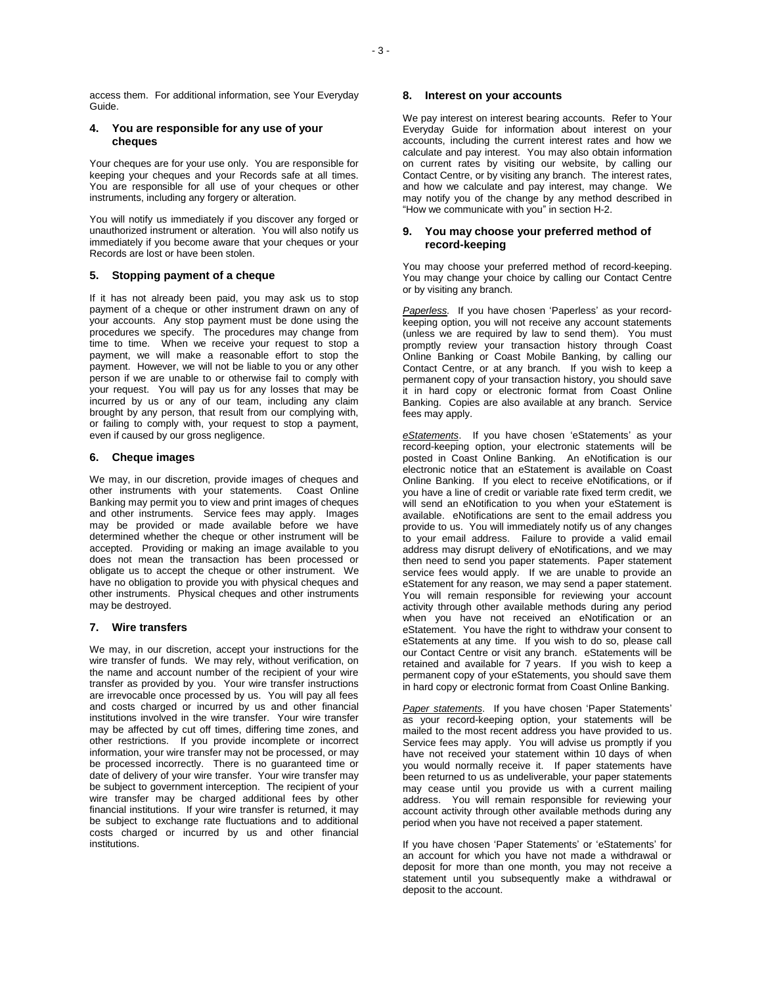access them. For additional information, see Your Everyday Guide.

# **4. You are responsible for any use of your cheques**

Your cheques are for your use only. You are responsible for keeping your cheques and your Records safe at all times. You are responsible for all use of your cheques or other instruments, including any forgery or alteration.

You will notify us immediately if you discover any forged or unauthorized instrument or alteration. You will also notify us immediately if you become aware that your cheques or your Records are lost or have been stolen.

# **5. Stopping payment of a cheque**

If it has not already been paid, you may ask us to stop payment of a cheque or other instrument drawn on any of your accounts. Any stop payment must be done using the procedures we specify. The procedures may change from time to time. When we receive your request to stop a payment, we will make a reasonable effort to stop the payment. However, we will not be liable to you or any other person if we are unable to or otherwise fail to comply with your request. You will pay us for any losses that may be incurred by us or any of our team, including any claim brought by any person, that result from our complying with, or failing to comply with, your request to stop a payment, even if caused by our gross negligence.

# **6. Cheque images**

We may, in our discretion, provide images of cheques and other instruments with your statements. Coast Online Banking may permit you to view and print images of cheques and other instruments. Service fees may apply. Images may be provided or made available before we have determined whether the cheque or other instrument will be accepted. Providing or making an image available to you does not mean the transaction has been processed or obligate us to accept the cheque or other instrument. We have no obligation to provide you with physical cheques and other instruments. Physical cheques and other instruments may be destroyed.

### **7. Wire transfers**

We may, in our discretion, accept your instructions for the wire transfer of funds. We may rely, without verification, on the name and account number of the recipient of your wire transfer as provided by you. Your wire transfer instructions are irrevocable once processed by us. You will pay all fees and costs charged or incurred by us and other financial institutions involved in the wire transfer. Your wire transfer may be affected by cut off times, differing time zones, and other restrictions. If you provide incomplete or incorrect information, your wire transfer may not be processed, or may be processed incorrectly. There is no guaranteed time or date of delivery of your wire transfer. Your wire transfer may be subject to government interception. The recipient of your wire transfer may be charged additional fees by other financial institutions. If your wire transfer is returned, it may be subject to exchange rate fluctuations and to additional costs charged or incurred by us and other financial institutions.

# **8. Interest on your accounts**

We pay interest on interest bearing accounts. Refer to Your Everyday Guide for information about interest on your accounts, including the current interest rates and how we calculate and pay interest. You may also obtain information on current rates by visiting our website, by calling our Contact Centre, or by visiting any branch. The interest rates, and how we calculate and pay interest, may change. We may notify you of the change by any method described in "How we communicate with you" in section H-2.

# **9. You may choose your preferred method of record-keeping**

You may choose your preferred method of record-keeping. You may change your choice by calling our Contact Centre or by visiting any branch.

*Paperless.* If you have chosen 'Paperless' as your recordkeeping option, you will not receive any account statements (unless we are required by law to send them). You must promptly review your transaction history through Coast Online Banking or Coast Mobile Banking, by calling our Contact Centre, or at any branch. If you wish to keep a permanent copy of your transaction history, you should save it in hard copy or electronic format from Coast Online Banking. Copies are also available at any branch. Service fees may apply.

*eStatements*. If you have chosen 'eStatements' as your record-keeping option, your electronic statements will be posted in Coast Online Banking. An eNotification is our electronic notice that an eStatement is available on Coast Online Banking. If you elect to receive eNotifications, or if you have a line of credit or variable rate fixed term credit, we will send an eNotification to you when your eStatement is available. eNotifications are sent to the email address you provide to us. You will immediately notify us of any changes to your email address. Failure to provide a valid email address may disrupt delivery of eNotifications, and we may then need to send you paper statements. Paper statement service fees would apply. If we are unable to provide an eStatement for any reason, we may send a paper statement. You will remain responsible for reviewing your account activity through other available methods during any period when you have not received an eNotification or an eStatement. You have the right to withdraw your consent to eStatements at any time. If you wish to do so, please call our Contact Centre or visit any branch. eStatements will be retained and available for 7 years. If you wish to keep a permanent copy of your eStatements, you should save them in hard copy or electronic format from Coast Online Banking.

*Paper statements*. If you have chosen 'Paper Statements' as your record-keeping option, your statements will be mailed to the most recent address you have provided to us. Service fees may apply. You will advise us promptly if you have not received your statement within 10 days of when you would normally receive it. If paper statements have been returned to us as undeliverable, your paper statements may cease until you provide us with a current mailing address. You will remain responsible for reviewing your account activity through other available methods during any period when you have not received a paper statement.

If you have chosen 'Paper Statements' or 'eStatements' for an account for which you have not made a withdrawal or deposit for more than one month, you may not receive a statement until you subsequently make a withdrawal or deposit to the account.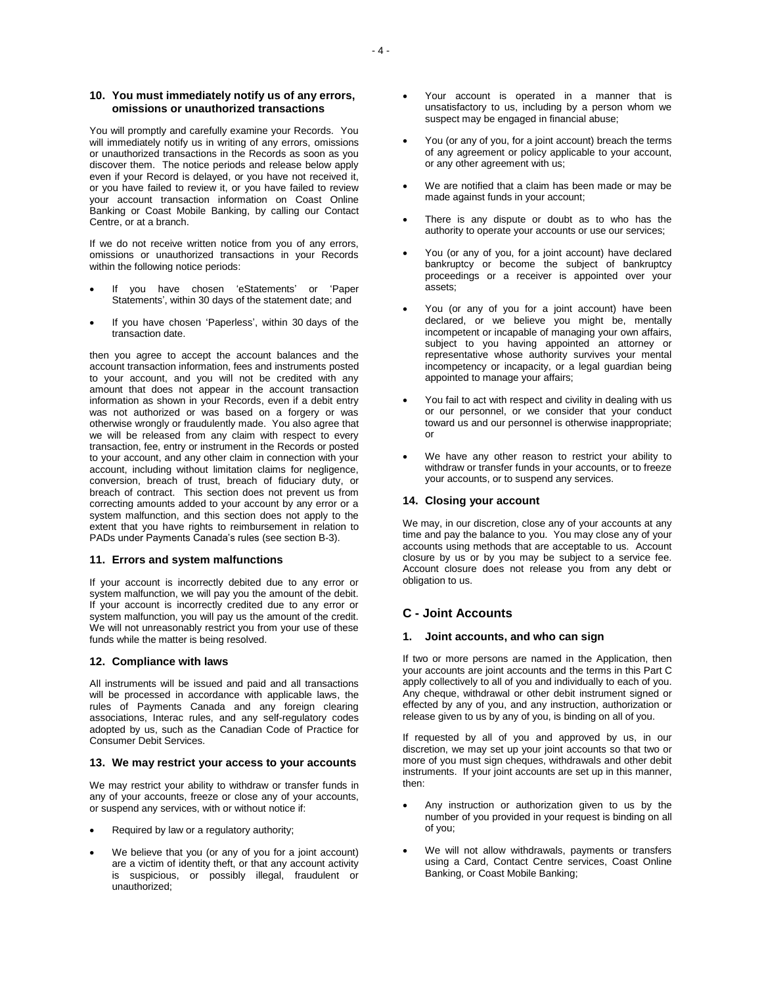# **10. You must immediately notify us of any errors, omissions or unauthorized transactions**

You will promptly and carefully examine your Records. You will immediately notify us in writing of any errors, omissions or unauthorized transactions in the Records as soon as you discover them. The notice periods and release below apply even if your Record is delayed, or you have not received it, or you have failed to review it, or you have failed to review your account transaction information on Coast Online Banking or Coast Mobile Banking, by calling our Contact Centre, or at a branch.

If we do not receive written notice from you of any errors, omissions or unauthorized transactions in your Records within the following notice periods:

- If you have chosen 'eStatements' or 'Paper Statements', within 30 days of the statement date; and
- If you have chosen 'Paperless', within 30 days of the transaction date.

then you agree to accept the account balances and the account transaction information, fees and instruments posted to your account, and you will not be credited with any amount that does not appear in the account transaction information as shown in your Records, even if a debit entry was not authorized or was based on a forgery or was otherwise wrongly or fraudulently made. You also agree that we will be released from any claim with respect to every transaction, fee, entry or instrument in the Records or posted to your account, and any other claim in connection with your account, including without limitation claims for negligence, conversion, breach of trust, breach of fiduciary duty, or breach of contract. This section does not prevent us from correcting amounts added to your account by any error or a system malfunction, and this section does not apply to the extent that you have rights to reimbursement in relation to PADs under Payments Canada's rules (see section B-3).

# **11. Errors and system malfunctions**

If your account is incorrectly debited due to any error or system malfunction, we will pay you the amount of the debit. If your account is incorrectly credited due to any error or system malfunction, you will pay us the amount of the credit. We will not unreasonably restrict you from your use of these funds while the matter is being resolved.

### **12. Compliance with laws**

All instruments will be issued and paid and all transactions will be processed in accordance with applicable laws, the rules of Payments Canada and any foreign clearing associations, Interac rules, and any self-regulatory codes adopted by us, such as the Canadian Code of Practice for Consumer Debit Services.

# **13. We may restrict your access to your accounts**

We may restrict your ability to withdraw or transfer funds in any of your accounts, freeze or close any of your accounts, or suspend any services, with or without notice if:

- Required by law or a regulatory authority;
- We believe that you (or any of you for a joint account) are a victim of identity theft, or that any account activity is suspicious, or possibly illegal, fraudulent or unauthorized;
- Your account is operated in a manner that is unsatisfactory to us, including by a person whom we suspect may be engaged in financial abuse:
- You (or any of you, for a joint account) breach the terms of any agreement or policy applicable to your account, or any other agreement with us;
- We are notified that a claim has been made or may be made against funds in your account;
- There is any dispute or doubt as to who has the authority to operate your accounts or use our services;
- You (or any of you, for a joint account) have declared bankruptcy or become the subject of bankruptcy proceedings or a receiver is appointed over your assets;
- You (or any of you for a joint account) have been declared, or we believe you might be, mentally incompetent or incapable of managing your own affairs, subject to you having appointed an attorney or representative whose authority survives your mental incompetency or incapacity, or a legal guardian being appointed to manage your affairs;
- You fail to act with respect and civility in dealing with us or our personnel, or we consider that your conduct toward us and our personnel is otherwise inappropriate; or
- We have any other reason to restrict your ability to withdraw or transfer funds in your accounts, or to freeze your accounts, or to suspend any services.

# **14. Closing your account**

We may, in our discretion, close any of your accounts at any time and pay the balance to you. You may close any of your accounts using methods that are acceptable to us. Account closure by us or by you may be subject to a service fee. Account closure does not release you from any debt or obligation to us.

# **C - Joint Accounts**

# **1. Joint accounts, and who can sign**

If two or more persons are named in the Application, then your accounts are joint accounts and the terms in this Part C apply collectively to all of you and individually to each of you. Any cheque, withdrawal or other debit instrument signed or effected by any of you, and any instruction, authorization or release given to us by any of you, is binding on all of you.

If requested by all of you and approved by us, in our discretion, we may set up your joint accounts so that two or more of you must sign cheques, withdrawals and other debit instruments. If your joint accounts are set up in this manner, then:

- Any instruction or authorization given to us by the number of you provided in your request is binding on all of you;
- We will not allow withdrawals, payments or transfers using a Card, Contact Centre services, Coast Online Banking, or Coast Mobile Banking;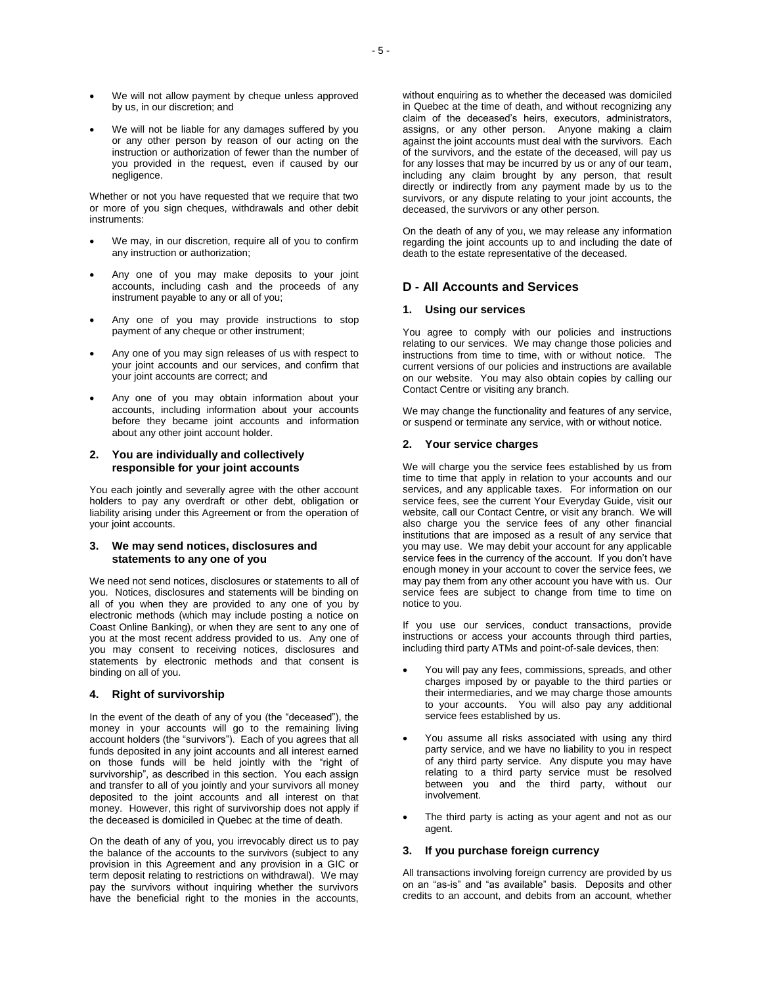- We will not allow payment by cheque unless approved by us, in our discretion; and
- We will not be liable for any damages suffered by you or any other person by reason of our acting on the instruction or authorization of fewer than the number of you provided in the request, even if caused by our negligence.

Whether or not you have requested that we require that two or more of you sign cheques, withdrawals and other debit instruments:

- We may, in our discretion, require all of you to confirm any instruction or authorization;
- Any one of you may make deposits to your joint accounts, including cash and the proceeds of any instrument payable to any or all of you;
- Any one of you may provide instructions to stop payment of any cheque or other instrument;
- Any one of you may sign releases of us with respect to your joint accounts and our services, and confirm that your joint accounts are correct; and
- Any one of you may obtain information about your accounts, including information about your accounts before they became joint accounts and information about any other joint account holder.

# **2. You are individually and collectively responsible for your joint accounts**

You each jointly and severally agree with the other account holders to pay any overdraft or other debt, obligation or liability arising under this Agreement or from the operation of your joint accounts.

# **3. We may send notices, disclosures and statements to any one of you**

We need not send notices, disclosures or statements to all of you. Notices, disclosures and statements will be binding on all of you when they are provided to any one of you by electronic methods (which may include posting a notice on Coast Online Banking), or when they are sent to any one of you at the most recent address provided to us. Any one of you may consent to receiving notices, disclosures and statements by electronic methods and that consent is binding on all of you.

# **4. Right of survivorship**

In the event of the death of any of you (the "deceased"), the money in your accounts will go to the remaining living account holders (the "survivors"). Each of you agrees that all funds deposited in any joint accounts and all interest earned on those funds will be held jointly with the "right of survivorship", as described in this section. You each assign and transfer to all of you jointly and your survivors all money deposited to the joint accounts and all interest on that money. However, this right of survivorship does not apply if the deceased is domiciled in Quebec at the time of death.

On the death of any of you, you irrevocably direct us to pay the balance of the accounts to the survivors (subject to any provision in this Agreement and any provision in a GIC or term deposit relating to restrictions on withdrawal). We may pay the survivors without inquiring whether the survivors have the beneficial right to the monies in the accounts, without enquiring as to whether the deceased was domiciled in Quebec at the time of death, and without recognizing any claim of the deceased's heirs, executors, administrators, assigns, or any other person. Anyone making a claim against the joint accounts must deal with the survivors. Each of the survivors, and the estate of the deceased, will pay us for any losses that may be incurred by us or any of our team, including any claim brought by any person, that result directly or indirectly from any payment made by us to the survivors, or any dispute relating to your joint accounts, the deceased, the survivors or any other person.

On the death of any of you, we may release any information regarding the joint accounts up to and including the date of death to the estate representative of the deceased.

# **D - All Accounts and Services**

# **1. Using our services**

You agree to comply with our policies and instructions relating to our services. We may change those policies and instructions from time to time, with or without notice. The current versions of our policies and instructions are available on our website. You may also obtain copies by calling our Contact Centre or visiting any branch.

We may change the functionality and features of any service, or suspend or terminate any service, with or without notice.

# **2. Your service charges**

We will charge you the service fees established by us from time to time that apply in relation to your accounts and our services, and any applicable taxes. For information on our service fees, see the current Your Everyday Guide, visit our website, call our Contact Centre, or visit any branch. We will also charge you the service fees of any other financial institutions that are imposed as a result of any service that you may use. We may debit your account for any applicable service fees in the currency of the account. If you don't have enough money in your account to cover the service fees, we may pay them from any other account you have with us. Our service fees are subject to change from time to time on notice to you.

If you use our services, conduct transactions, provide instructions or access your accounts through third parties, including third party ATMs and point-of-sale devices, then:

- You will pay any fees, commissions, spreads, and other charges imposed by or payable to the third parties or their intermediaries, and we may charge those amounts to your accounts. You will also pay any additional service fees established by us.
- You assume all risks associated with using any third party service, and we have no liability to you in respect of any third party service. Any dispute you may have relating to a third party service must be resolved between you and the third party, without our involvement.
- The third party is acting as your agent and not as our agent.

# **3. If you purchase foreign currency**

All transactions involving foreign currency are provided by us on an "as-is" and "as available" basis. Deposits and other credits to an account, and debits from an account, whether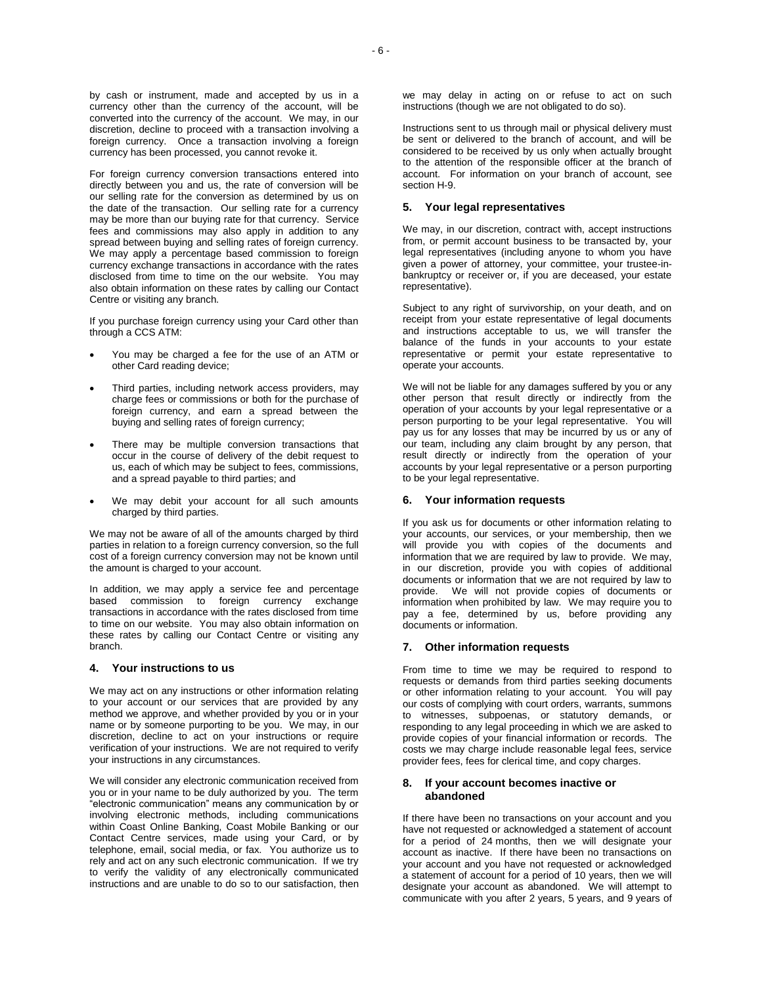by cash or instrument, made and accepted by us in a currency other than the currency of the account, will be converted into the currency of the account. We may, in our discretion, decline to proceed with a transaction involving a foreign currency. Once a transaction involving a foreign currency has been processed, you cannot revoke it.

For foreign currency conversion transactions entered into directly between you and us, the rate of conversion will be our selling rate for the conversion as determined by us on the date of the transaction. Our selling rate for a currency may be more than our buying rate for that currency. Service fees and commissions may also apply in addition to any spread between buying and selling rates of foreign currency. We may apply a percentage based commission to foreign currency exchange transactions in accordance with the rates disclosed from time to time on the our website. You may also obtain information on these rates by calling our Contact Centre or visiting any branch.

If you purchase foreign currency using your Card other than through a CCS ATM:

- You may be charged a fee for the use of an ATM or other Card reading device;
- Third parties, including network access providers, may charge fees or commissions or both for the purchase of foreign currency, and earn a spread between the buying and selling rates of foreign currency;
- There may be multiple conversion transactions that occur in the course of delivery of the debit request to us, each of which may be subject to fees, commissions, and a spread payable to third parties; and
- We may debit your account for all such amounts charged by third parties.

We may not be aware of all of the amounts charged by third parties in relation to a foreign currency conversion, so the full cost of a foreign currency conversion may not be known until the amount is charged to your account.

In addition, we may apply a service fee and percentage based commission to foreign currency exchange transactions in accordance with the rates disclosed from time to time on our website. You may also obtain information on these rates by calling our Contact Centre or visiting any branch.

### **4. Your instructions to us**

We may act on any instructions or other information relating to your account or our services that are provided by any method we approve, and whether provided by you or in your name or by someone purporting to be you. We may, in our discretion, decline to act on your instructions or require verification of your instructions. We are not required to verify your instructions in any circumstances.

We will consider any electronic communication received from you or in your name to be duly authorized by you. The term "electronic communication" means any communication by or involving electronic methods, including communications within Coast Online Banking, Coast Mobile Banking or our Contact Centre services, made using your Card, or by telephone, email, social media, or fax. You authorize us to rely and act on any such electronic communication. If we try to verify the validity of any electronically communicated instructions and are unable to do so to our satisfaction, then

we may delay in acting on or refuse to act on such instructions (though we are not obligated to do so).

Instructions sent to us through mail or physical delivery must be sent or delivered to the branch of account, and will be considered to be received by us only when actually brought to the attention of the responsible officer at the branch of account. For information on your branch of account, see section H-9.

# **5. Your legal representatives**

We may, in our discretion, contract with, accept instructions from, or permit account business to be transacted by, your legal representatives (including anyone to whom you have given a power of attorney, your committee, your trustee-inbankruptcy or receiver or, if you are deceased, your estate representative).

Subject to any right of survivorship, on your death, and on receipt from your estate representative of legal documents and instructions acceptable to us, we will transfer the balance of the funds in your accounts to your estate representative or permit your estate representative to operate your accounts.

We will not be liable for any damages suffered by you or any other person that result directly or indirectly from the operation of your accounts by your legal representative or a person purporting to be your legal representative. You will pay us for any losses that may be incurred by us or any of our team, including any claim brought by any person, that result directly or indirectly from the operation of your accounts by your legal representative or a person purporting to be your legal representative.

# **6. Your information requests**

If you ask us for documents or other information relating to your accounts, our services, or your membership, then we will provide you with copies of the documents and information that we are required by law to provide. We may, in our discretion, provide you with copies of additional documents or information that we are not required by law to provide. We will not provide copies of documents or information when prohibited by law. We may require you to pay a fee, determined by us, before providing any documents or information.

### **7. Other information requests**

From time to time we may be required to respond to requests or demands from third parties seeking documents or other information relating to your account. You will pay our costs of complying with court orders, warrants, summons to witnesses, subpoenas, or statutory demands, or responding to any legal proceeding in which we are asked to provide copies of your financial information or records. The costs we may charge include reasonable legal fees, service provider fees, fees for clerical time, and copy charges.

## **8. If your account becomes inactive or abandoned**

If there have been no transactions on your account and you have not requested or acknowledged a statement of account for a period of 24 months, then we will designate your account as inactive. If there have been no transactions on your account and you have not requested or acknowledged a statement of account for a period of 10 years, then we will designate your account as abandoned. We will attempt to communicate with you after 2 years, 5 years, and 9 years of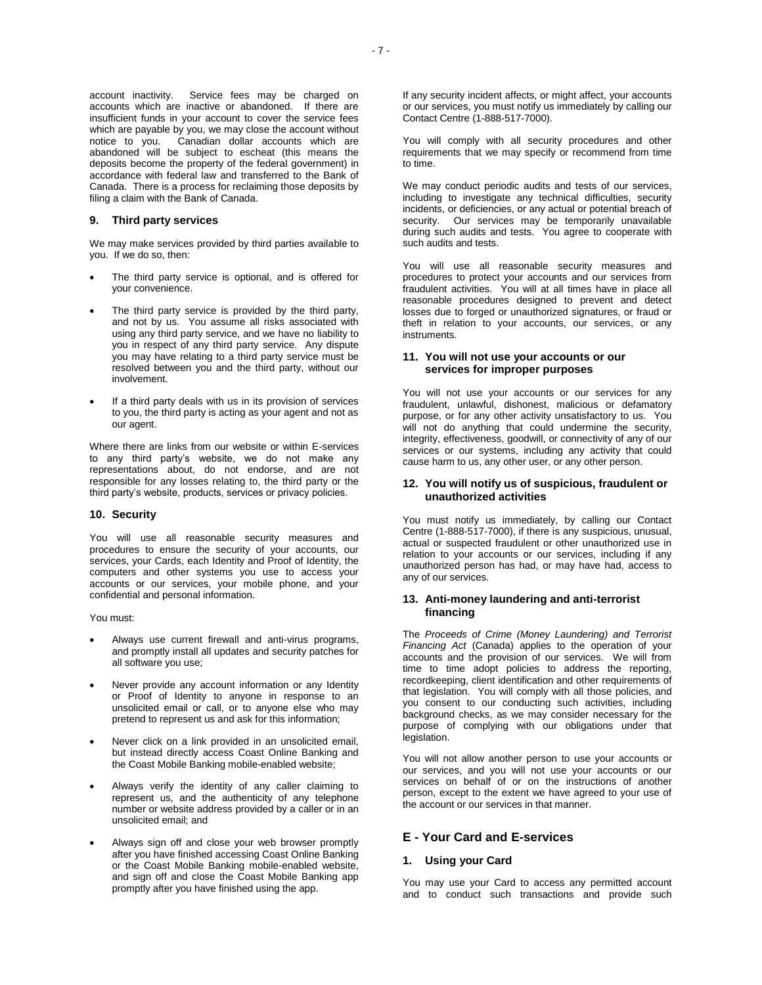account inactivity. Service fees may be charged on accounts which are inactive or abandoned. If there are insufficient funds in your account to cover the service fees which are payable by you, we may close the account without notice to you. Canadian dollar accounts which are abandoned will be subject to escheat (this means the deposits become the property of the federal government) in accordance with federal law and transferred to the Bank of Canada. There is a process for reclaiming those deposits by filing a claim with the Bank of Canada.

# **9. Third party services**

We may make services provided by third parties available to you. If we do so, then:

- The third party service is optional, and is offered for your convenience.
- The third party service is provided by the third party, and not by us. You assume all risks associated with using any third party service, and we have no liability to you in respect of any third party service. Any dispute you may have relating to a third party service must be resolved between you and the third party, without our involvement.
- If a third party deals with us in its provision of services to you, the third party is acting as your agent and not as our agent.

Where there are links from our website or within E-services to any third party's website, we do not make any representations about, do not endorse, and are not responsible for any losses relating to, the third party or the third party's website, products, services or privacy policies.

#### **10. Security**

You will use all reasonable security measures and procedures to ensure the security of your accounts, our services, your Cards, each Identity and Proof of Identity, the computers and other systems you use to access your accounts or our services, your mobile phone, and your confidential and personal information.

You must:

- Always use current firewall and anti-virus programs, and promptly install all updates and security patches for all software you use;
- Never provide any account information or any Identity or Proof of Identity to anyone in response to an unsolicited email or call, or to anyone else who may pretend to represent us and ask for this information;
- Never click on a link provided in an unsolicited email, but instead directly access Coast Online Banking and the Coast Mobile Banking mobile-enabled website;
- Always verify the identity of any caller claiming to represent us, and the authenticity of any telephone number or website address provided by a caller or in an unsolicited email; and
- Always sign off and close your web browser promptly after you have finished accessing Coast Online Banking or the Coast Mobile Banking mobile-enabled website, and sign off and close the Coast Mobile Banking app promptly after you have finished using the app.

If any security incident affects, or might affect, your accounts or our services, you must notify us immediately by calling our Contact Centre (1-888-517-7000).

You will comply with all security procedures and other requirements that we may specify or recommend from time to time.

We may conduct periodic audits and tests of our services, including to investigate any technical difficulties, security incidents, or deficiencies, or any actual or potential breach of security. Our services may be temporarily unavailable during such audits and tests. You agree to cooperate with such audits and tests.

You will use all reasonable security measures and procedures to protect your accounts and our services from fraudulent activities. You will at all times have in place all reasonable procedures designed to prevent and detect losses due to forged or unauthorized signatures, or fraud or theft in relation to your accounts, our services, or any instruments.

### **11. You will not use your accounts or our services for improper purposes**

You will not use your accounts or our services for any fraudulent, unlawful, dishonest, malicious or defamatory purpose, or for any other activity unsatisfactory to us. You will not do anything that could undermine the security, integrity, effectiveness, goodwill, or connectivity of any of our services or our systems, including any activity that could cause harm to us, any other user, or any other person.

# **12. You will notify us of suspicious, fraudulent or unauthorized activities**

You must notify us immediately, by calling our Contact Centre (1-888-517-7000), if there is any suspicious, unusual, actual or suspected fraudulent or other unauthorized use in relation to your accounts or our services, including if any unauthorized person has had, or may have had, access to any of our services.

# **13. Anti-money laundering and anti-terrorist financing**

The *Proceeds of Crime (Money Laundering) and Terrorist Financing Act* (Canada) applies to the operation of your accounts and the provision of our services. We will from time to time adopt policies to address the reporting, recordkeeping, client identification and other requirements of that legislation. You will comply with all those policies, and you consent to our conducting such activities, including background checks, as we may consider necessary for the purpose of complying with our obligations under that legislation.

You will not allow another person to use your accounts or our services, and you will not use your accounts or our services on behalf of or on the instructions of another person, except to the extent we have agreed to your use of the account or our services in that manner.

# **E - Your Card and E-services**

# **1. Using your Card**

You may use your Card to access any permitted account and to conduct such transactions and provide such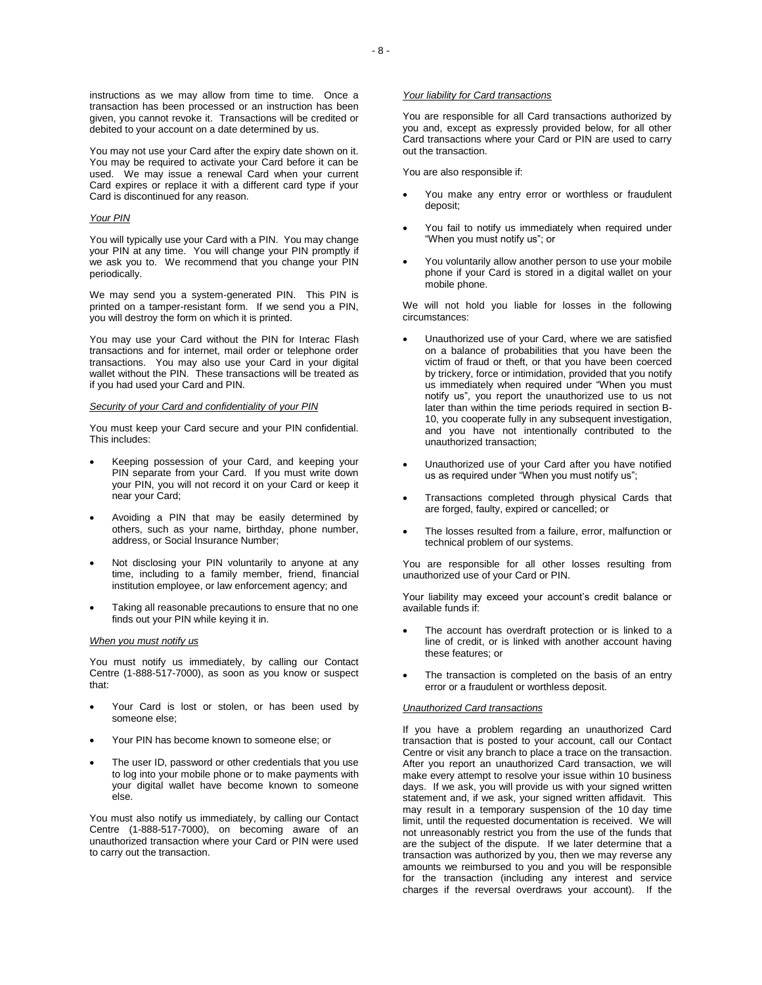You may not use your Card after the expiry date shown on it. You may be required to activate your Card before it can be used. We may issue a renewal Card when your current Card expires or replace it with a different card type if your Card is discontinued for any reason.

### *Your PIN*

You will typically use your Card with a PIN. You may change your PIN at any time. You will change your PIN promptly if we ask you to. We recommend that you change your PIN periodically.

We may send you a system-generated PIN. This PIN is printed on a tamper-resistant form. If we send you a PIN, you will destroy the form on which it is printed.

You may use your Card without the PIN for Interac Flash transactions and for internet, mail order or telephone order transactions. You may also use your Card in your digital wallet without the PIN. These transactions will be treated as if you had used your Card and PIN.

#### *Security of your Card and confidentiality of your PIN*

You must keep your Card secure and your PIN confidential. This includes:

- Keeping possession of your Card, and keeping your PIN separate from your Card. If you must write down your PIN, you will not record it on your Card or keep it near your Card;
- Avoiding a PIN that may be easily determined by others, such as your name, birthday, phone number, address, or Social Insurance Number;
- Not disclosing your PIN voluntarily to anyone at any time, including to a family member, friend, financial institution employee, or law enforcement agency; and
- Taking all reasonable precautions to ensure that no one finds out your PIN while keying it in.

#### *When you must notify us*

You must notify us immediately, by calling our Contact Centre (1-888-517-7000), as soon as you know or suspect that:

- Your Card is lost or stolen, or has been used by someone else;
- Your PIN has become known to someone else; or
- The user ID, password or other credentials that you use to log into your mobile phone or to make payments with your digital wallet have become known to someone else.

You must also notify us immediately, by calling our Contact Centre (1-888-517-7000), on becoming aware of an unauthorized transaction where your Card or PIN were used to carry out the transaction.

# *Your liability for Card transactions*

You are responsible for all Card transactions authorized by you and, except as expressly provided below, for all other Card transactions where your Card or PIN are used to carry out the transaction.

You are also responsible if:

- You make any entry error or worthless or fraudulent deposit;
- You fail to notify us immediately when required under "When you must notify us"; or
- You voluntarily allow another person to use your mobile phone if your Card is stored in a digital wallet on your mobile phone.

We will not hold you liable for losses in the following circumstances:

- Unauthorized use of your Card, where we are satisfied on a balance of probabilities that you have been the victim of fraud or theft, or that you have been coerced by trickery, force or intimidation, provided that you notify us immediately when required under "When you must notify us", you report the unauthorized use to us not later than within the time periods required in section B-10, you cooperate fully in any subsequent investigation, and you have not intentionally contributed to the unauthorized transaction;
- Unauthorized use of your Card after you have notified us as required under "When you must notify us";
- Transactions completed through physical Cards that are forged, faulty, expired or cancelled; or
- The losses resulted from a failure, error, malfunction or technical problem of our systems.

You are responsible for all other losses resulting from unauthorized use of your Card or PIN.

Your liability may exceed your account's credit balance or available funds if:

- The account has overdraft protection or is linked to a line of credit, or is linked with another account having these features; or
- The transaction is completed on the basis of an entry error or a fraudulent or worthless deposit.

#### *Unauthorized Card transactions*

If you have a problem regarding an unauthorized Card transaction that is posted to your account, call our Contact Centre or visit any branch to place a trace on the transaction. After you report an unauthorized Card transaction, we will make every attempt to resolve your issue within 10 business days. If we ask, you will provide us with your signed written statement and, if we ask, your signed written affidavit. This may result in a temporary suspension of the 10 day time limit, until the requested documentation is received. We will not unreasonably restrict you from the use of the funds that are the subject of the dispute. If we later determine that a transaction was authorized by you, then we may reverse any amounts we reimbursed to you and you will be responsible for the transaction (including any interest and service charges if the reversal overdraws your account). If the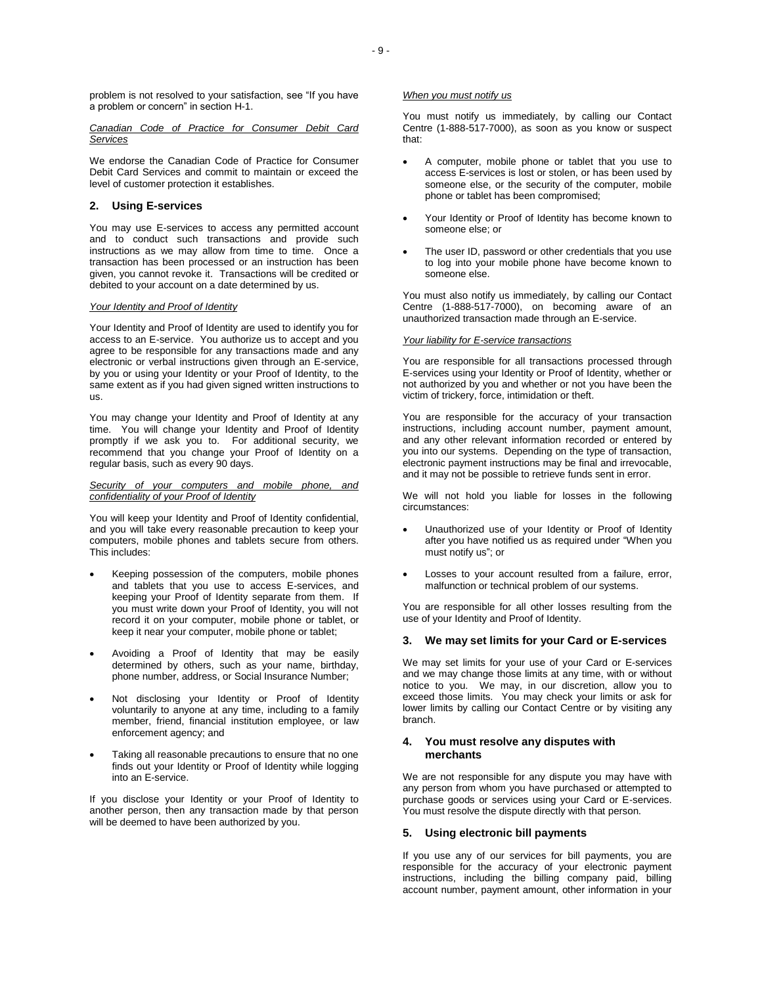problem is not resolved to your satisfaction, see "If you have a problem or concern" in section H-1.

*Canadian Code of Practice for Consumer Debit Card Services*

We endorse the Canadian Code of Practice for Consumer Debit Card Services and commit to maintain or exceed the level of customer protection it establishes.

# **2. Using E-services**

You may use E-services to access any permitted account and to conduct such transactions and provide such instructions as we may allow from time to time. Once a transaction has been processed or an instruction has been given, you cannot revoke it. Transactions will be credited or debited to your account on a date determined by us.

# *Your Identity and Proof of Identity*

Your Identity and Proof of Identity are used to identify you for access to an E-service. You authorize us to accept and you agree to be responsible for any transactions made and any electronic or verbal instructions given through an E-service, by you or using your Identity or your Proof of Identity, to the same extent as if you had given signed written instructions to us.

You may change your Identity and Proof of Identity at any time. You will change your Identity and Proof of Identity promptly if we ask you to. For additional security, we recommend that you change your Proof of Identity on a regular basis, such as every 90 days.

# *Security of your computers and mobile phone, and confidentiality of your Proof of Identity*

You will keep your Identity and Proof of Identity confidential, and you will take every reasonable precaution to keep your computers, mobile phones and tablets secure from others. This includes:

- Keeping possession of the computers, mobile phones and tablets that you use to access E-services, and keeping your Proof of Identity separate from them. If you must write down your Proof of Identity, you will not record it on your computer, mobile phone or tablet, or keep it near your computer, mobile phone or tablet;
- Avoiding a Proof of Identity that may be easily determined by others, such as your name, birthday, phone number, address, or Social Insurance Number;
- Not disclosing your Identity or Proof of Identity voluntarily to anyone at any time, including to a family member, friend, financial institution employee, or law enforcement agency; and
- Taking all reasonable precautions to ensure that no one finds out your Identity or Proof of Identity while logging into an E-service.

If you disclose your Identity or your Proof of Identity to another person, then any transaction made by that person will be deemed to have been authorized by you.

# *When you must notify us*

You must notify us immediately, by calling our Contact Centre (1-888-517-7000), as soon as you know or suspect that:

- A computer, mobile phone or tablet that you use to access E-services is lost or stolen, or has been used by someone else, or the security of the computer, mobile phone or tablet has been compromised;
- Your Identity or Proof of Identity has become known to someone else; or
- The user ID, password or other credentials that you use to log into your mobile phone have become known to someone else.

You must also notify us immediately, by calling our Contact Centre (1-888-517-7000), on becoming aware of an unauthorized transaction made through an E-service.

#### *Your liability for E-service transactions*

You are responsible for all transactions processed through E-services using your Identity or Proof of Identity, whether or not authorized by you and whether or not you have been the victim of trickery, force, intimidation or theft.

You are responsible for the accuracy of your transaction instructions, including account number, payment amount, and any other relevant information recorded or entered by you into our systems. Depending on the type of transaction, electronic payment instructions may be final and irrevocable, and it may not be possible to retrieve funds sent in error.

We will not hold you liable for losses in the following circumstances:

- Unauthorized use of your Identity or Proof of Identity after you have notified us as required under "When you must notify us"; or
- Losses to your account resulted from a failure, error, malfunction or technical problem of our systems.

You are responsible for all other losses resulting from the use of your Identity and Proof of Identity.

# **3. We may set limits for your Card or E-services**

We may set limits for your use of your Card or E-services and we may change those limits at any time, with or without notice to you. We may, in our discretion, allow you to exceed those limits. You may check your limits or ask for lower limits by calling our Contact Centre or by visiting any branch.

### **4. You must resolve any disputes with merchants**

We are not responsible for any dispute you may have with any person from whom you have purchased or attempted to purchase goods or services using your Card or E-services. You must resolve the dispute directly with that person.

# **5. Using electronic bill payments**

If you use any of our services for bill payments, you are responsible for the accuracy of your electronic payment instructions, including the billing company paid, billing account number, payment amount, other information in your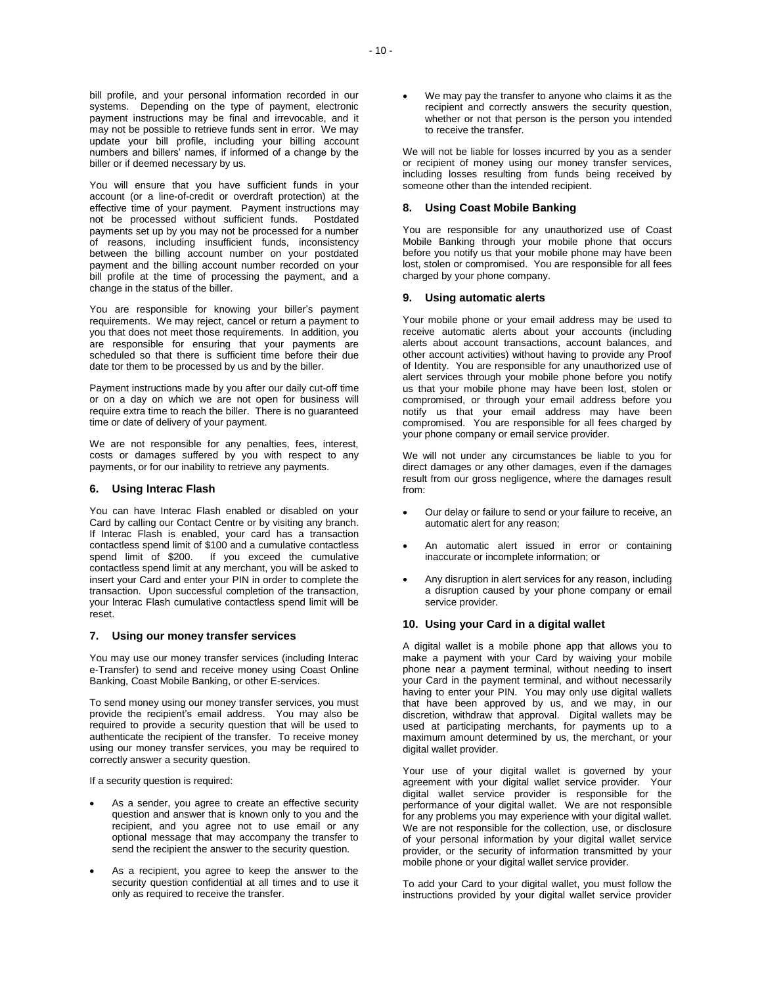You will ensure that you have sufficient funds in your account (or a line-of-credit or overdraft protection) at the effective time of your payment. Payment instructions may not be processed without sufficient funds. Postdated payments set up by you may not be processed for a number of reasons, including insufficient funds, inconsistency between the billing account number on your postdated payment and the billing account number recorded on your bill profile at the time of processing the payment, and a change in the status of the biller.

You are responsible for knowing your biller's payment requirements. We may reject, cancel or return a payment to you that does not meet those requirements. In addition, you are responsible for ensuring that your payments are scheduled so that there is sufficient time before their due date tor them to be processed by us and by the biller.

Payment instructions made by you after our daily cut-off time or on a day on which we are not open for business will require extra time to reach the biller. There is no guaranteed time or date of delivery of your payment.

We are not responsible for any penalties, fees, interest, costs or damages suffered by you with respect to any payments, or for our inability to retrieve any payments.

### **6. Using lnterac Flash**

You can have Interac Flash enabled or disabled on your Card by calling our Contact Centre or by visiting any branch. If Interac Flash is enabled, your card has a transaction contactless spend limit of \$100 and a cumulative contactless spend limit of \$200. If you exceed the cumulative contactless spend limit at any merchant, you will be asked to insert your Card and enter your PIN in order to complete the transaction. Upon successful completion of the transaction, your lnterac Flash cumulative contactless spend limit will be reset.

### **7. Using our money transfer services**

You may use our money transfer services (including Interac e-Transfer) to send and receive money using Coast Online Banking, Coast Mobile Banking, or other E-services.

To send money using our money transfer services, you must provide the recipient's email address. You may also be required to provide a security question that will be used to authenticate the recipient of the transfer. To receive money using our money transfer services, you may be required to correctly answer a security question.

If a security question is required:

- As a sender, you agree to create an effective security question and answer that is known only to you and the recipient, and you agree not to use email or any optional message that may accompany the transfer to send the recipient the answer to the security question.
- As a recipient, you agree to keep the answer to the security question confidential at all times and to use it only as required to receive the transfer.

 We may pay the transfer to anyone who claims it as the recipient and correctly answers the security question, whether or not that person is the person you intended to receive the transfer.

We will not be liable for losses incurred by you as a sender or recipient of money using our money transfer services, including losses resulting from funds being received by someone other than the intended recipient.

# **8. Using Coast Mobile Banking**

You are responsible for any unauthorized use of Coast Mobile Banking through your mobile phone that occurs before you notify us that your mobile phone may have been lost, stolen or compromised. You are responsible for all fees charged by your phone company.

#### **9. Using automatic alerts**

Your mobile phone or your email address may be used to receive automatic alerts about your accounts (including alerts about account transactions, account balances, and other account activities) without having to provide any Proof of Identity. You are responsible for any unauthorized use of alert services through your mobile phone before you notify us that your mobile phone may have been lost, stolen or compromised, or through your email address before you notify us that your email address may have been compromised. You are responsible for all fees charged by your phone company or email service provider.

We will not under any circumstances be liable to you for direct damages or any other damages, even if the damages result from our gross negligence, where the damages result from:

- Our delay or failure to send or your failure to receive, an automatic alert for any reason;
- An automatic alert issued in error or containing inaccurate or incomplete information; or
- Any disruption in alert services for any reason, including a disruption caused by your phone company or email service provider.

# **10. Using your Card in a digital wallet**

A digital wallet is a mobile phone app that allows you to make a payment with your Card by waiving your mobile phone near a payment terminal, without needing to insert your Card in the payment terminal, and without necessarily having to enter your PIN. You may only use digital wallets that have been approved by us, and we may, in our discretion, withdraw that approval. Digital wallets may be used at participating merchants, for payments up to a maximum amount determined by us, the merchant, or your digital wallet provider.

Your use of your digital wallet is governed by your agreement with your digital wallet service provider. Your digital wallet service provider is responsible for the performance of your digital wallet. We are not responsible for any problems you may experience with your digital wallet. We are not responsible for the collection, use, or disclosure of your personal information by your digital wallet service provider, or the security of information transmitted by your mobile phone or your digital wallet service provider.

To add your Card to your digital wallet, you must follow the instructions provided by your digital wallet service provider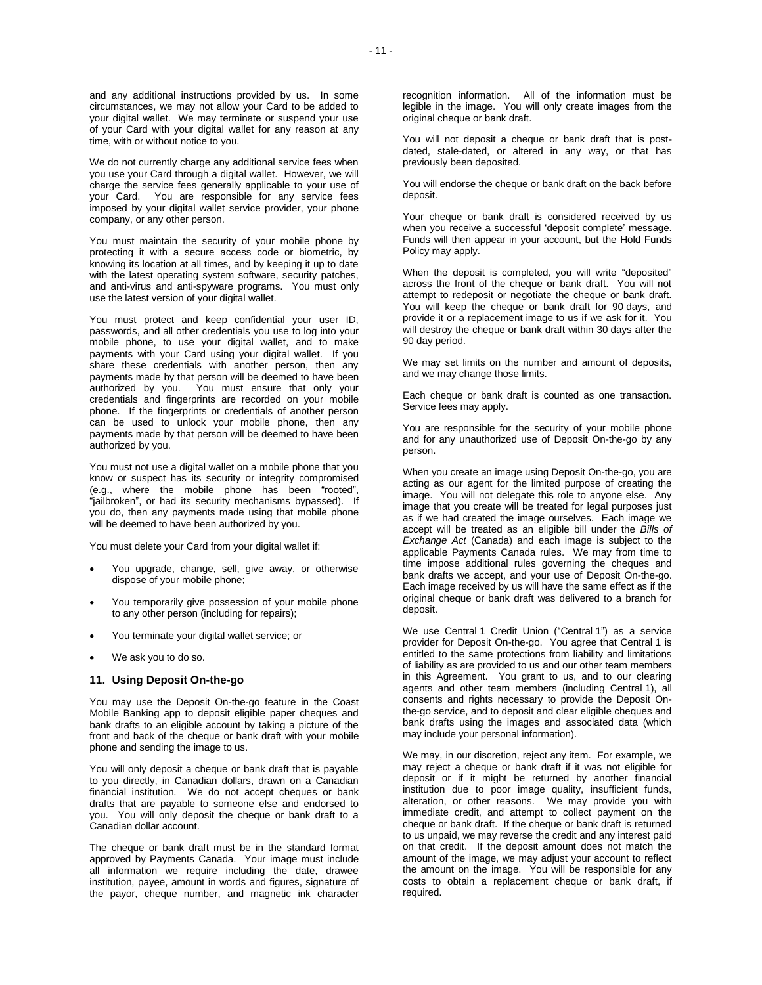and any additional instructions provided by us. In some circumstances, we may not allow your Card to be added to your digital wallet. We may terminate or suspend your use of your Card with your digital wallet for any reason at any time, with or without notice to you.

We do not currently charge any additional service fees when you use your Card through a digital wallet. However, we will charge the service fees generally applicable to your use of your Card. You are responsible for any service fees imposed by your digital wallet service provider, your phone company, or any other person.

You must maintain the security of your mobile phone by protecting it with a secure access code or biometric, by knowing its location at all times, and by keeping it up to date with the latest operating system software, security patches, and anti-virus and anti-spyware programs. You must only use the latest version of your digital wallet.

You must protect and keep confidential your user ID, passwords, and all other credentials you use to log into your mobile phone, to use your digital wallet, and to make payments with your Card using your digital wallet. If you share these credentials with another person, then any payments made by that person will be deemed to have been authorized by you. You must ensure that only your credentials and fingerprints are recorded on your mobile phone. If the fingerprints or credentials of another person can be used to unlock your mobile phone, then any payments made by that person will be deemed to have been authorized by you.

You must not use a digital wallet on a mobile phone that you know or suspect has its security or integrity compromised (e.g., where the mobile phone has been "rooted", "jailbroken", or had its security mechanisms bypassed). If you do, then any payments made using that mobile phone will be deemed to have been authorized by you.

You must delete your Card from your digital wallet if:

- You upgrade, change, sell, give away, or otherwise dispose of your mobile phone;
- You temporarily give possession of your mobile phone to any other person (including for repairs);
- You terminate your digital wallet service; or
- We ask you to do so.

#### **11. Using Deposit On-the-go**

You may use the Deposit On-the-go feature in the Coast Mobile Banking app to deposit eligible paper cheques and bank drafts to an eligible account by taking a picture of the front and back of the cheque or bank draft with your mobile phone and sending the image to us.

You will only deposit a cheque or bank draft that is payable to you directly, in Canadian dollars, drawn on a Canadian financial institution. We do not accept cheques or bank drafts that are payable to someone else and endorsed to you. You will only deposit the cheque or bank draft to a Canadian dollar account.

The cheque or bank draft must be in the standard format approved by Payments Canada. Your image must include all information we require including the date, drawee institution, payee, amount in words and figures, signature of the payor, cheque number, and magnetic ink character

recognition information. All of the information must be legible in the image. You will only create images from the original cheque or bank draft.

You will not deposit a cheque or bank draft that is postdated, stale-dated, or altered in any way, or that has previously been deposited.

You will endorse the cheque or bank draft on the back before deposit.

Your cheque or bank draft is considered received by us when you receive a successful 'deposit complete' message. Funds will then appear in your account, but the Hold Funds Policy may apply.

When the deposit is completed, you will write "deposited" across the front of the cheque or bank draft. You will not attempt to redeposit or negotiate the cheque or bank draft. You will keep the cheque or bank draft for 90 days, and provide it or a replacement image to us if we ask for it. You will destroy the cheque or bank draft within 30 days after the 90 day period.

We may set limits on the number and amount of deposits, and we may change those limits.

Each cheque or bank draft is counted as one transaction. Service fees may apply.

You are responsible for the security of your mobile phone and for any unauthorized use of Deposit On-the-go by any person.

When you create an image using Deposit On-the-go, you are acting as our agent for the limited purpose of creating the image. You will not delegate this role to anyone else. Any image that you create will be treated for legal purposes just as if we had created the image ourselves. Each image we accept will be treated as an eligible bill under the *Bills of Exchange Act* (Canada) and each image is subject to the applicable Payments Canada rules. We may from time to time impose additional rules governing the cheques and bank drafts we accept, and your use of Deposit On-the-go. Each image received by us will have the same effect as if the original cheque or bank draft was delivered to a branch for deposit.

We use Central 1 Credit Union ("Central 1") as a service provider for Deposit On-the-go. You agree that Central 1 is entitled to the same protections from liability and limitations of liability as are provided to us and our other team members in this Agreement. You grant to us, and to our clearing agents and other team members (including Central 1), all consents and rights necessary to provide the Deposit Onthe-go service, and to deposit and clear eligible cheques and bank drafts using the images and associated data (which may include your personal information).

We may, in our discretion, reject any item. For example, we may reject a cheque or bank draft if it was not eligible for deposit or if it might be returned by another financial institution due to poor image quality, insufficient funds, alteration, or other reasons. We may provide you with immediate credit, and attempt to collect payment on the cheque or bank draft. If the cheque or bank draft is returned to us unpaid, we may reverse the credit and any interest paid on that credit. If the deposit amount does not match the amount of the image, we may adjust your account to reflect the amount on the image. You will be responsible for any costs to obtain a replacement cheque or bank draft, if required.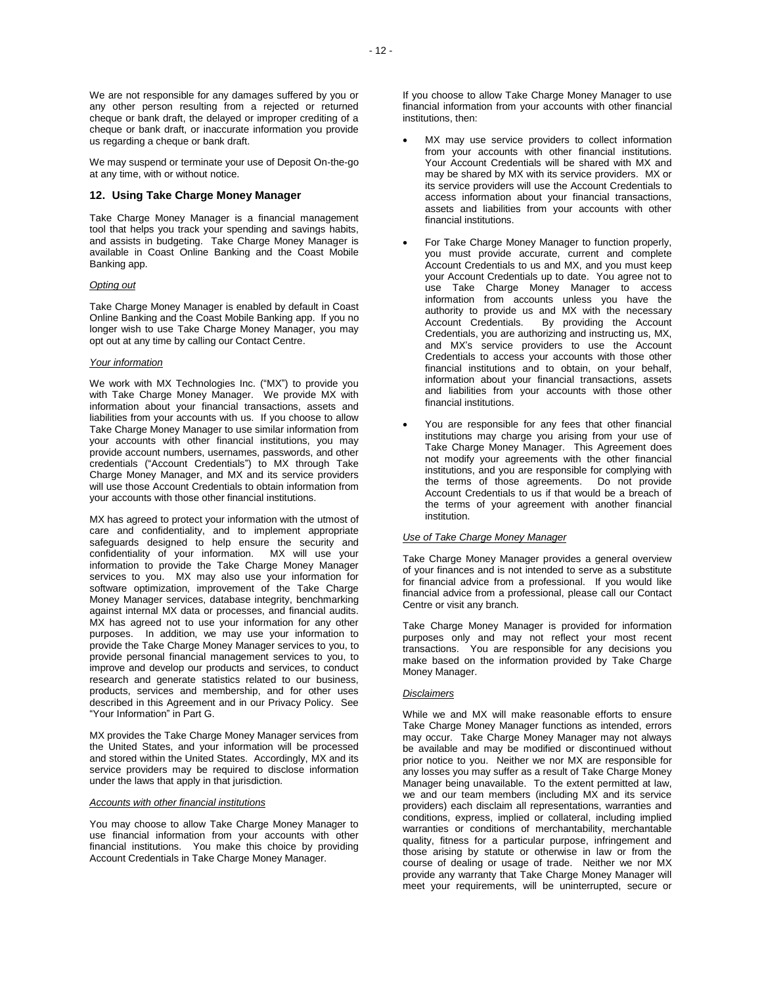We may suspend or terminate your use of Deposit On-the-go at any time, with or without notice.

# **12. Using Take Charge Money Manager**

Take Charge Money Manager is a financial management tool that helps you track your spending and savings habits, and assists in budgeting. Take Charge Money Manager is available in Coast Online Banking and the Coast Mobile Banking app.

# *Opting out*

Take Charge Money Manager is enabled by default in Coast Online Banking and the Coast Mobile Banking app. If you no longer wish to use Take Charge Money Manager, you may opt out at any time by calling our Contact Centre.

# *Your information*

We work with MX Technologies Inc. ("MX") to provide you with Take Charge Money Manager. We provide MX with information about your financial transactions, assets and liabilities from your accounts with us. If you choose to allow Take Charge Money Manager to use similar information from your accounts with other financial institutions, you may provide account numbers, usernames, passwords, and other credentials ("Account Credentials") to MX through Take Charge Money Manager, and MX and its service providers will use those Account Credentials to obtain information from your accounts with those other financial institutions.

MX has agreed to protect your information with the utmost of care and confidentiality, and to implement appropriate safeguards designed to help ensure the security and confidentiality of your information. MX will use your information to provide the Take Charge Money Manager services to you. MX may also use your information for software optimization, improvement of the Take Charge Money Manager services, database integrity, benchmarking against internal MX data or processes, and financial audits. MX has agreed not to use your information for any other purposes. In addition, we may use your information to provide the Take Charge Money Manager services to you, to provide personal financial management services to you, to improve and develop our products and services, to conduct research and generate statistics related to our business, products, services and membership, and for other uses described in this Agreement and in our Privacy Policy. See "Your Information" in Part G.

MX provides the Take Charge Money Manager services from the United States, and your information will be processed and stored within the United States. Accordingly, MX and its service providers may be required to disclose information under the laws that apply in that jurisdiction.

### *Accounts with other financial institutions*

You may choose to allow Take Charge Money Manager to use financial information from your accounts with other financial institutions. You make this choice by providing Account Credentials in Take Charge Money Manager.

- MX may use service providers to collect information from your accounts with other financial institutions. Your Account Credentials will be shared with MX and may be shared by MX with its service providers. MX or its service providers will use the Account Credentials to access information about your financial transactions, assets and liabilities from your accounts with other financial institutions.
- For Take Charge Money Manager to function properly, you must provide accurate, current and complete Account Credentials to us and MX, and you must keep your Account Credentials up to date. You agree not to use Take Charge Money Manager to access information from accounts unless you have the authority to provide us and MX with the necessary<br>Account Credentials. By providing the Account By providing the Account Credentials, you are authorizing and instructing us, MX, and MX's service providers to use the Account Credentials to access your accounts with those other financial institutions and to obtain, on your behalf, information about your financial transactions, assets and liabilities from your accounts with those other financial institutions.
- You are responsible for any fees that other financial institutions may charge you arising from your use of Take Charge Money Manager. This Agreement does not modify your agreements with the other financial institutions, and you are responsible for complying with the terms of those agreements. Do not provide Account Credentials to us if that would be a breach of the terms of your agreement with another financial institution.

### *Use of Take Charge Money Manager*

Take Charge Money Manager provides a general overview of your finances and is not intended to serve as a substitute for financial advice from a professional. If you would like financial advice from a professional, please call our Contact Centre or visit any branch.

Take Charge Money Manager is provided for information purposes only and may not reflect your most recent transactions. You are responsible for any decisions you make based on the information provided by Take Charge Money Manager.

# *Disclaimers*

While we and MX will make reasonable efforts to ensure Take Charge Money Manager functions as intended, errors may occur. Take Charge Money Manager may not always be available and may be modified or discontinued without prior notice to you. Neither we nor MX are responsible for any losses you may suffer as a result of Take Charge Money Manager being unavailable. To the extent permitted at law, we and our team members (including MX and its service providers) each disclaim all representations, warranties and conditions, express, implied or collateral, including implied warranties or conditions of merchantability, merchantable quality, fitness for a particular purpose, infringement and those arising by statute or otherwise in law or from the course of dealing or usage of trade. Neither we nor MX provide any warranty that Take Charge Money Manager will meet your requirements, will be uninterrupted, secure or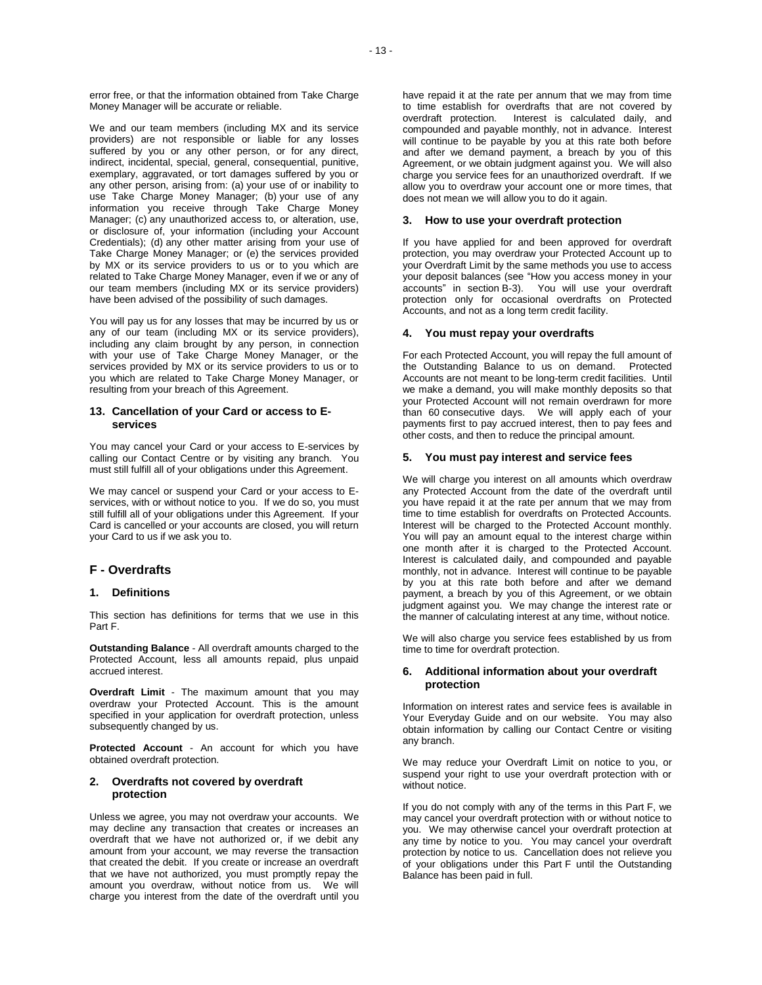error free, or that the information obtained from Take Charge Money Manager will be accurate or reliable.

We and our team members (including MX and its service providers) are not responsible or liable for any losses suffered by you or any other person, or for any direct, indirect, incidental, special, general, consequential, punitive, exemplary, aggravated, or tort damages suffered by you or any other person, arising from: (a) your use of or inability to use Take Charge Money Manager; (b) your use of any information you receive through Take Charge Money Manager; (c) any unauthorized access to, or alteration, use, or disclosure of, your information (including your Account Credentials); (d) any other matter arising from your use of Take Charge Money Manager; or (e) the services provided by MX or its service providers to us or to you which are related to Take Charge Money Manager, even if we or any of our team members (including MX or its service providers) have been advised of the possibility of such damages.

You will pay us for any losses that may be incurred by us or any of our team (including MX or its service providers), including any claim brought by any person, in connection with your use of Take Charge Money Manager, or the services provided by MX or its service providers to us or to you which are related to Take Charge Money Manager, or resulting from your breach of this Agreement.

# **13. Cancellation of your Card or access to Eservices**

You may cancel your Card or your access to E-services by calling our Contact Centre or by visiting any branch. You must still fulfill all of your obligations under this Agreement.

We may cancel or suspend your Card or your access to Eservices, with or without notice to you. If we do so, you must still fulfill all of your obligations under this Agreement. If your Card is cancelled or your accounts are closed, you will return your Card to us if we ask you to.

# **F - Overdrafts**

# **1. Definitions**

This section has definitions for terms that we use in this Part F.

**Outstanding Balance** - All overdraft amounts charged to the Protected Account, less all amounts repaid, plus unpaid accrued interest.

**Overdraft Limit** - The maximum amount that you may overdraw your Protected Account. This is the amount specified in your application for overdraft protection, unless subsequently changed by us.

**Protected Account** - An account for which you have obtained overdraft protection.

# **2. Overdrafts not covered by overdraft protection**

Unless we agree, you may not overdraw your accounts. We may decline any transaction that creates or increases an overdraft that we have not authorized or, if we debit any amount from your account, we may reverse the transaction that created the debit. If you create or increase an overdraft that we have not authorized, you must promptly repay the amount you overdraw, without notice from us. We will charge you interest from the date of the overdraft until you

have repaid it at the rate per annum that we may from time to time establish for overdrafts that are not covered by overdraft protection. Interest is calculated daily, and compounded and payable monthly, not in advance. Interest will continue to be payable by you at this rate both before and after we demand payment, a breach by you of this Agreement, or we obtain judgment against you. We will also charge you service fees for an unauthorized overdraft. If we allow you to overdraw your account one or more times, that does not mean we will allow you to do it again.

# **3. How to use your overdraft protection**

If you have applied for and been approved for overdraft protection, you may overdraw your Protected Account up to your Overdraft Limit by the same methods you use to access your deposit balances (see "How you access money in your accounts" in section [B-](#page-1-0)3). You will use your overdraft protection only for occasional overdrafts on Protected Accounts, and not as a long term credit facility.

### **4. You must repay your overdrafts**

For each Protected Account, you will repay the full amount of the Outstanding Balance to us on demand. Protected Accounts are not meant to be long-term credit facilities. Until we make a demand, you will make monthly deposits so that your Protected Account will not remain overdrawn for more than 60 consecutive days. We will apply each of your payments first to pay accrued interest, then to pay fees and other costs, and then to reduce the principal amount.

# **5. You must pay interest and service fees**

We will charge you interest on all amounts which overdraw any Protected Account from the date of the overdraft until you have repaid it at the rate per annum that we may from time to time establish for overdrafts on Protected Accounts. Interest will be charged to the Protected Account monthly. You will pay an amount equal to the interest charge within one month after it is charged to the Protected Account. Interest is calculated daily, and compounded and payable monthly, not in advance. Interest will continue to be payable by you at this rate both before and after we demand payment, a breach by you of this Agreement, or we obtain judgment against you. We may change the interest rate or the manner of calculating interest at any time, without notice.

We will also charge you service fees established by us from time to time for overdraft protection.

# **6. Additional information about your overdraft protection**

Information on interest rates and service fees is available in Your Everyday Guide and on our website. You may also obtain information by calling our Contact Centre or visiting any branch.

We may reduce your Overdraft Limit on notice to you, or suspend your right to use your overdraft protection with or without notice.

If you do not comply with any of the terms in this Part F, we may cancel your overdraft protection with or without notice to you. We may otherwise cancel your overdraft protection at any time by notice to you. You may cancel your overdraft protection by notice to us. Cancellation does not relieve you of your obligations under this Part F until the Outstanding Balance has been paid in full.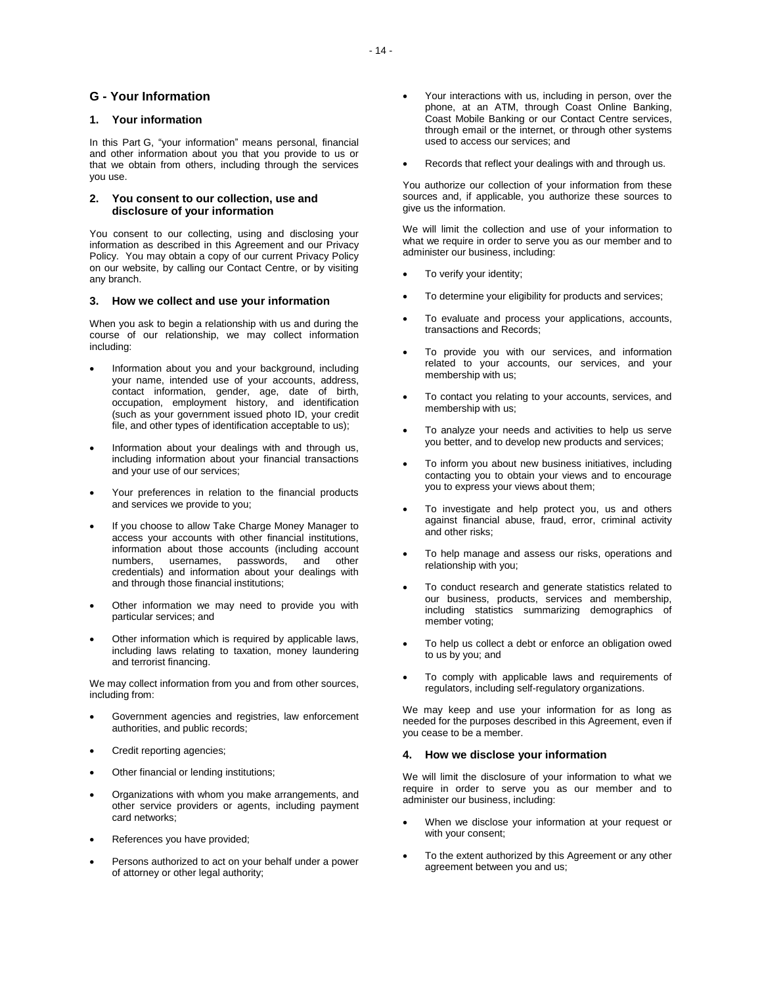# **G - Your Information**

# **1. Your information**

In this Part G, "your information" means personal, financial and other information about you that you provide to us or that we obtain from others, including through the services you use.

# **2. You consent to our collection, use and disclosure of your information**

You consent to our collecting, using and disclosing your information as described in this Agreement and our Privacy Policy. You may obtain a copy of our current Privacy Policy on our website, by calling our Contact Centre, or by visiting any branch.

# **3. How we collect and use your information**

When you ask to begin a relationship with us and during the course of our relationship, we may collect information including:

- Information about you and your background, including your name, intended use of your accounts, address, contact information, gender, age, date of birth, occupation, employment history, and identification (such as your government issued photo ID, your credit file, and other types of identification acceptable to us);
- Information about your dealings with and through us, including information about your financial transactions and your use of our services;
- Your preferences in relation to the financial products and services we provide to you;
- If you choose to allow Take Charge Money Manager to access your accounts with other financial institutions, information about those accounts (including account numbers, usernames, passwords, and other credentials) and information about your dealings with and through those financial institutions;
- Other information we may need to provide you with particular services; and
- Other information which is required by applicable laws, including laws relating to taxation, money laundering and terrorist financing.

We may collect information from you and from other sources, including from:

- Government agencies and registries, law enforcement authorities, and public records;
- Credit reporting agencies;
- Other financial or lending institutions;
- Organizations with whom you make arrangements, and other service providers or agents, including payment card networks;
- References you have provided;
- Persons authorized to act on your behalf under a power of attorney or other legal authority;
- Your interactions with us, including in person, over the phone, at an ATM, through Coast Online Banking, Coast Mobile Banking or our Contact Centre services, through email or the internet, or through other systems used to access our services; and
- Records that reflect your dealings with and through us.

You authorize our collection of your information from these sources and, if applicable, you authorize these sources to give us the information.

We will limit the collection and use of your information to what we require in order to serve you as our member and to administer our business, including:

- To verify your identity;
- To determine your eligibility for products and services;
- To evaluate and process your applications, accounts, transactions and Records;
- To provide you with our services, and information related to your accounts, our services, and your membership with us;
- To contact you relating to your accounts, services, and membership with us;
- To analyze your needs and activities to help us serve you better, and to develop new products and services;
- To inform you about new business initiatives, including contacting you to obtain your views and to encourage you to express your views about them;
- To investigate and help protect you, us and others against financial abuse, fraud, error, criminal activity and other risks;
- To help manage and assess our risks, operations and relationship with you;
- To conduct research and generate statistics related to our business, products, services and membership, including statistics summarizing demographics of member voting;
- To help us collect a debt or enforce an obligation owed to us by you; and
- To comply with applicable laws and requirements of regulators, including self-regulatory organizations.

We may keep and use your information for as long as needed for the purposes described in this Agreement, even if you cease to be a member.

### **4. How we disclose your information**

We will limit the disclosure of your information to what we require in order to serve you as our member and to administer our business, including:

- When we disclose your information at your request or with your consent;
- To the extent authorized by this Agreement or any other agreement between you and us;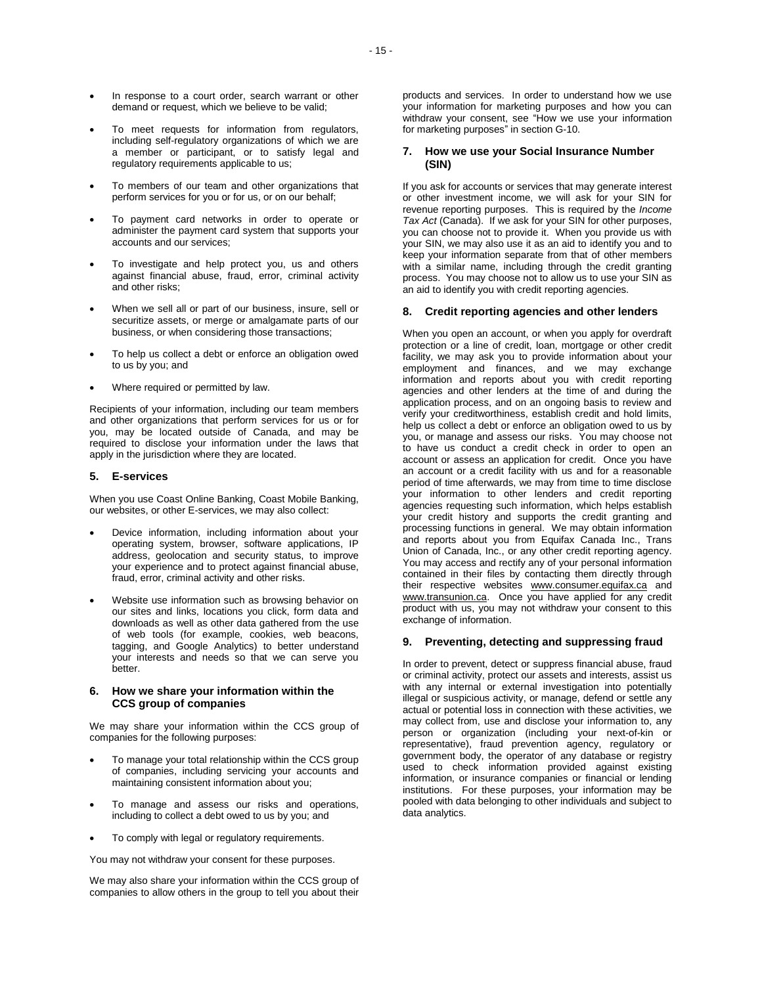- In response to a court order, search warrant or other demand or request, which we believe to be valid;
- To meet requests for information from regulators, including self-regulatory organizations of which we are a member or participant, or to satisfy legal and regulatory requirements applicable to us;
- To members of our team and other organizations that perform services for you or for us, or on our behalf;
- To payment card networks in order to operate or administer the payment card system that supports your accounts and our services;
- To investigate and help protect you, us and others against financial abuse, fraud, error, criminal activity and other risks;
- When we sell all or part of our business, insure, sell or securitize assets, or merge or amalgamate parts of our business, or when considering those transactions;
- To help us collect a debt or enforce an obligation owed to us by you; and
- Where required or permitted by law.

Recipients of your information, including our team members and other organizations that perform services for us or for you, may be located outside of Canada, and may be required to disclose your information under the laws that apply in the jurisdiction where they are located.

# **5. E-services**

When you use Coast Online Banking, Coast Mobile Banking, our websites, or other E-services, we may also collect:

- Device information, including information about your operating system, browser, software applications, IP address, geolocation and security status, to improve your experience and to protect against financial abuse, fraud, error, criminal activity and other risks.
- Website use information such as browsing behavior on our sites and links, locations you click, form data and downloads as well as other data gathered from the use of web tools (for example, cookies, web beacons, tagging, and Google Analytics) to better understand your interests and needs so that we can serve you better.

# **6. How we share your information within the CCS group of companies**

We may share your information within the CCS group of companies for the following purposes:

- To manage your total relationship within the CCS group of companies, including servicing your accounts and maintaining consistent information about you;
- To manage and assess our risks and operations, including to collect a debt owed to us by you; and
- To comply with legal or regulatory requirements.

You may not withdraw your consent for these purposes.

We may also share your information within the CCS group of companies to allow others in the group to tell you about their products and services. In order to understand how we use your information for marketing purposes and how you can withdraw your consent, see "How we use your information for marketing purposes" in section G-10.

# **7. How we use your Social Insurance Number (SIN)**

If you ask for accounts or services that may generate interest or other investment income, we will ask for your SIN for revenue reporting purposes. This is required by the *Income Tax Act* (Canada). If we ask for your SIN for other purposes, you can choose not to provide it. When you provide us with your SIN, we may also use it as an aid to identify you and to keep your information separate from that of other members with a similar name, including through the credit granting process. You may choose not to allow us to use your SIN as an aid to identify you with credit reporting agencies.

### **8. Credit reporting agencies and other lenders**

When you open an account, or when you apply for overdraft protection or a line of credit, loan, mortgage or other credit facility, we may ask you to provide information about your employment and finances, and we may exchange information and reports about you with credit reporting agencies and other lenders at the time of and during the application process, and on an ongoing basis to review and verify your creditworthiness, establish credit and hold limits, help us collect a debt or enforce an obligation owed to us by you, or manage and assess our risks. You may choose not to have us conduct a credit check in order to open an account or assess an application for credit. Once you have an account or a credit facility with us and for a reasonable period of time afterwards, we may from time to time disclose your information to other lenders and credit reporting agencies requesting such information, which helps establish your credit history and supports the credit granting and processing functions in general. We may obtain information and reports about you from Equifax Canada Inc., Trans Union of Canada, Inc., or any other credit reporting agency. You may access and rectify any of your personal information contained in their files by contacting them directly through their respective websites www.consumer.equifax.ca and www.transunion.ca. Once you have applied for any credit product with us, you may not withdraw your consent to this exchange of information.

# **9. Preventing, detecting and suppressing fraud**

In order to prevent, detect or suppress financial abuse, fraud or criminal activity, protect our assets and interests, assist us with any internal or external investigation into potentially illegal or suspicious activity, or manage, defend or settle any actual or potential loss in connection with these activities, we may collect from, use and disclose your information to, any person or organization (including your next-of-kin or representative), fraud prevention agency, regulatory or government body, the operator of any database or registry used to check information provided against existing information, or insurance companies or financial or lending institutions. For these purposes, your information may be pooled with data belonging to other individuals and subject to data analytics.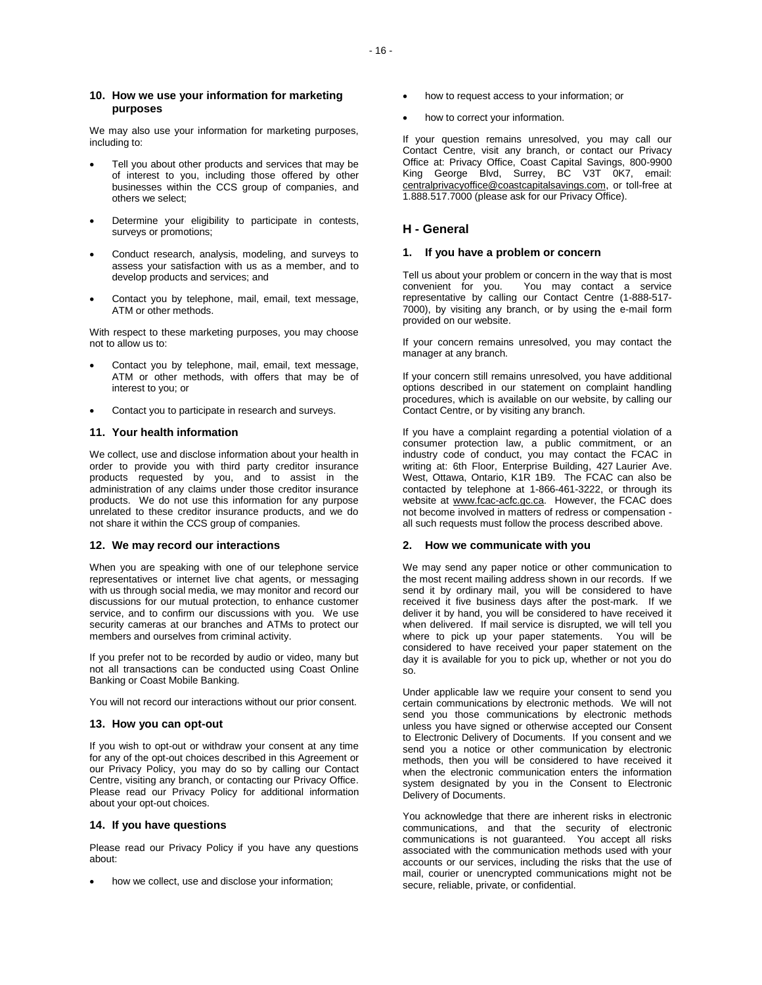# **10. How we use your information for marketing purposes**

We may also use your information for marketing purposes, including to:

- Tell you about other products and services that may be of interest to you, including those offered by other businesses within the CCS group of companies, and others we select;
- Determine your eligibility to participate in contests, surveys or promotions;
- Conduct research, analysis, modeling, and surveys to assess your satisfaction with us as a member, and to develop products and services; and
- Contact you by telephone, mail, email, text message, ATM or other methods.

With respect to these marketing purposes, you may choose not to allow us to:

- Contact you by telephone, mail, email, text message, ATM or other methods, with offers that may be of interest to you; or
- Contact you to participate in research and surveys.

# **11. Your health information**

We collect, use and disclose information about your health in order to provide you with third party creditor insurance products requested by you, and to assist in the administration of any claims under those creditor insurance products. We do not use this information for any purpose unrelated to these creditor insurance products, and we do not share it within the CCS group of companies.

### **12. We may record our interactions**

When you are speaking with one of our telephone service representatives or internet live chat agents, or messaging with us through social media, we may monitor and record our discussions for our mutual protection, to enhance customer service, and to confirm our discussions with you. We use security cameras at our branches and ATMs to protect our members and ourselves from criminal activity.

If you prefer not to be recorded by audio or video, many but not all transactions can be conducted using Coast Online Banking or Coast Mobile Banking.

You will not record our interactions without our prior consent.

# **13. How you can opt-out**

If you wish to opt-out or withdraw your consent at any time for any of the opt-out choices described in this Agreement or our Privacy Policy, you may do so by calling our Contact Centre, visiting any branch, or contacting our Privacy Office. Please read our Privacy Policy for additional information about your opt-out choices.

# **14. If you have questions**

Please read our Privacy Policy if you have any questions about:

how we collect, use and disclose your information;

- how to request access to your information; or
- how to correct your information.

If your question remains unresolved, you may call our Contact Centre, visit any branch, or contact our Privacy Office at: Privacy Office, Coast Capital Savings, 800-9900 King George Blvd, Surrey, BC V3T 0K7, email: centralprivacyoffice@coastcapitalsavings.com, or toll-free at 1.888.517.7000 (please ask for our Privacy Office).

# **H - General**

# **1. If you have a problem or concern**

Tell us about your problem or concern in the way that is most convenient for you. You may contact a service representative by calling our Contact Centre (1-888-517- 7000), by visiting any branch, or by using the e-mail form provided on our website.

If your concern remains unresolved, you may contact the manager at any branch.

If your concern still remains unresolved, you have additional options described in our statement on complaint handling procedures, which is available on our website, by calling our Contact Centre, or by visiting any branch.

If you have a complaint regarding a potential violation of a consumer protection law, a public commitment, or an industry code of conduct, you may contact the FCAC in writing at: 6th Floor, Enterprise Building, 427 Laurier Ave. West, Ottawa, Ontario, K1R 1B9. The FCAC can also be contacted by telephone at 1-866-461-3222, or through its website at www.fcac-acfc.gc.ca. However, the FCAC does not become involved in matters of redress or compensation all such requests must follow the process described above.

# **2. How we communicate with you**

We may send any paper notice or other communication to the most recent mailing address shown in our records. If we send it by ordinary mail, you will be considered to have received it five business days after the post-mark. If we deliver it by hand, you will be considered to have received it when delivered. If mail service is disrupted, we will tell you where to pick up your paper statements. You will be considered to have received your paper statement on the day it is available for you to pick up, whether or not you do so.

Under applicable law we require your consent to send you certain communications by electronic methods. We will not send you those communications by electronic methods unless you have signed or otherwise accepted our Consent to Electronic Delivery of Documents. If you consent and we send you a notice or other communication by electronic methods, then you will be considered to have received it when the electronic communication enters the information system designated by you in the Consent to Electronic Delivery of Documents.

You acknowledge that there are inherent risks in electronic communications, and that the security of electronic communications is not guaranteed. You accept all risks associated with the communication methods used with your accounts or our services, including the risks that the use of mail, courier or unencrypted communications might not be secure, reliable, private, or confidential.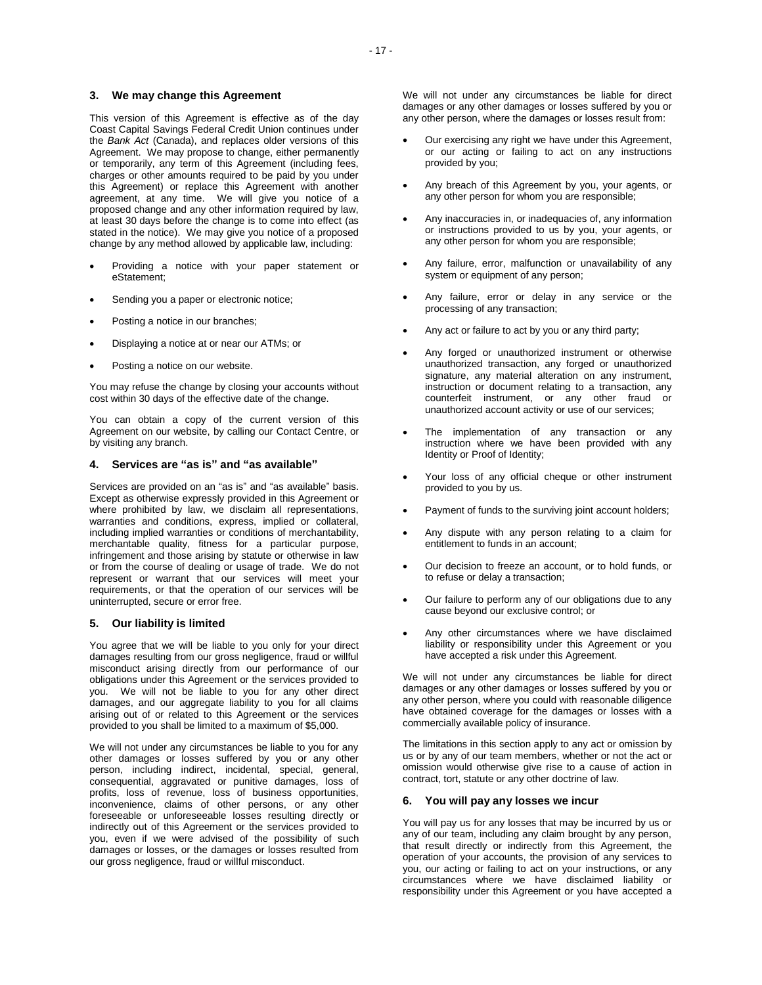# **3. We may change this Agreement**

This version of this Agreement is effective as of the day Coast Capital Savings Federal Credit Union continues under the *Bank Act* (Canada), and replaces older versions of this Agreement. We may propose to change, either permanently or temporarily, any term of this Agreement (including fees, charges or other amounts required to be paid by you under this Agreement) or replace this Agreement with another agreement, at any time. We will give you notice of a proposed change and any other information required by law, at least 30 days before the change is to come into effect (as stated in the notice). We may give you notice of a proposed change by any method allowed by applicable law, including:

- Providing a notice with your paper statement or eStatement;
- Sending you a paper or electronic notice;
- Posting a notice in our branches;
- Displaying a notice at or near our ATMs; or
- Posting a notice on our website.

You may refuse the change by closing your accounts without cost within 30 days of the effective date of the change.

You can obtain a copy of the current version of this Agreement on our website, by calling our Contact Centre, or by visiting any branch.

# **4. Services are "as is" and "as available"**

Services are provided on an "as is" and "as available" basis. Except as otherwise expressly provided in this Agreement or where prohibited by law, we disclaim all representations, warranties and conditions, express, implied or collateral, including implied warranties or conditions of merchantability, merchantable quality, fitness for a particular purpose, infringement and those arising by statute or otherwise in law or from the course of dealing or usage of trade. We do not represent or warrant that our services will meet your requirements, or that the operation of our services will be uninterrupted, secure or error free.

# **5. Our liability is limited**

You agree that we will be liable to you only for your direct damages resulting from our gross negligence, fraud or willful misconduct arising directly from our performance of our obligations under this Agreement or the services provided to you. We will not be liable to you for any other direct damages, and our aggregate liability to you for all claims arising out of or related to this Agreement or the services provided to you shall be limited to a maximum of \$5,000.

We will not under any circumstances be liable to you for any other damages or losses suffered by you or any other person, including indirect, incidental, special, general, consequential, aggravated or punitive damages, loss of profits, loss of revenue, loss of business opportunities, inconvenience, claims of other persons, or any other foreseeable or unforeseeable losses resulting directly or indirectly out of this Agreement or the services provided to you, even if we were advised of the possibility of such damages or losses, or the damages or losses resulted from our gross negligence, fraud or willful misconduct.

We will not under any circumstances be liable for direct damages or any other damages or losses suffered by you or any other person, where the damages or losses result from:

- Our exercising any right we have under this Agreement, or our acting or failing to act on any instructions provided by you;
- Any breach of this Agreement by you, your agents, or any other person for whom you are responsible;
- Any inaccuracies in, or inadequacies of, any information or instructions provided to us by you, your agents, or any other person for whom you are responsible;
- Any failure, error, malfunction or unavailability of any system or equipment of any person;
- Any failure, error or delay in any service or the processing of any transaction;
- Any act or failure to act by you or any third party;
- Any forged or unauthorized instrument or otherwise unauthorized transaction, any forged or unauthorized signature, any material alteration on any instrument, instruction or document relating to a transaction, any counterfeit instrument, or any other fraud or unauthorized account activity or use of our services;
- The implementation of any transaction or any instruction where we have been provided with any Identity or Proof of Identity;
- Your loss of any official cheque or other instrument provided to you by us.
- Payment of funds to the surviving joint account holders;
- Any dispute with any person relating to a claim for entitlement to funds in an account;
- Our decision to freeze an account, or to hold funds, or to refuse or delay a transaction;
- Our failure to perform any of our obligations due to any cause beyond our exclusive control; or
- Any other circumstances where we have disclaimed liability or responsibility under this Agreement or you have accepted a risk under this Agreement.

We will not under any circumstances be liable for direct damages or any other damages or losses suffered by you or any other person, where you could with reasonable diligence have obtained coverage for the damages or losses with a commercially available policy of insurance.

The limitations in this section apply to any act or omission by us or by any of our team members, whether or not the act or omission would otherwise give rise to a cause of action in contract, tort, statute or any other doctrine of law.

### **6. You will pay any losses we incur**

You will pay us for any losses that may be incurred by us or any of our team, including any claim brought by any person, that result directly or indirectly from this Agreement, the operation of your accounts, the provision of any services to you, our acting or failing to act on your instructions, or any circumstances where we have disclaimed liability or responsibility under this Agreement or you have accepted a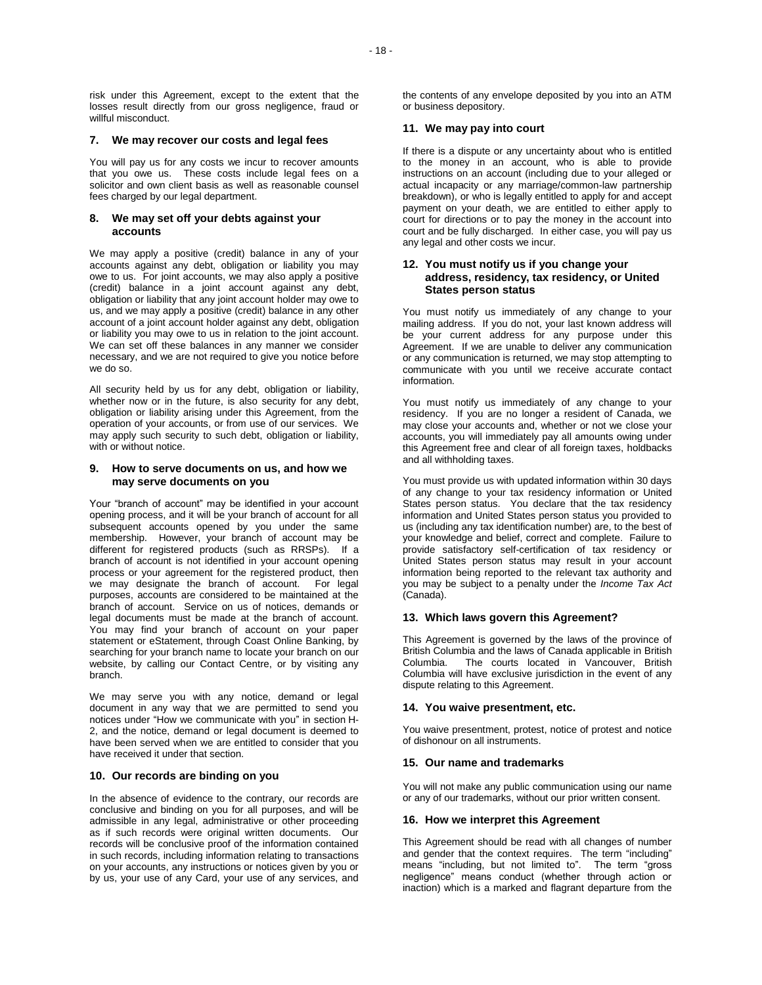risk under this Agreement, except to the extent that the losses result directly from our gross negligence, fraud or willful misconduct.

### **7. We may recover our costs and legal fees**

You will pay us for any costs we incur to recover amounts that you owe us. These costs include legal fees on a solicitor and own client basis as well as reasonable counsel fees charged by our legal department.

# **8. We may set off your debts against your accounts**

We may apply a positive (credit) balance in any of your accounts against any debt, obligation or liability you may owe to us. For joint accounts, we may also apply a positive (credit) balance in a joint account against any debt, obligation or liability that any joint account holder may owe to us, and we may apply a positive (credit) balance in any other account of a joint account holder against any debt, obligation or liability you may owe to us in relation to the joint account. We can set off these balances in any manner we consider necessary, and we are not required to give you notice before we do so.

All security held by us for any debt, obligation or liability, whether now or in the future, is also security for any debt, obligation or liability arising under this Agreement, from the operation of your accounts, or from use of our services. We may apply such security to such debt, obligation or liability, with or without notice.

# **9. How to serve documents on us, and how we may serve documents on you**

Your "branch of account" may be identified in your account opening process, and it will be your branch of account for all subsequent accounts opened by you under the same membership. However, your branch of account may be different for registered products (such as RRSPs). If a branch of account is not identified in your account opening process or your agreement for the registered product, then we may designate the branch of account. For legal purposes, accounts are considered to be maintained at the branch of account. Service on us of notices, demands or legal documents must be made at the branch of account. You may find your branch of account on your paper statement or eStatement, through Coast Online Banking, by searching for your branch name to locate your branch on our website, by calling our Contact Centre, or by visiting any branch.

We may serve you with any notice, demand or legal document in any way that we are permitted to send you notices under "How we communicate with you" in section H-2, and the notice, demand or legal document is deemed to have been served when we are entitled to consider that you have received it under that section.

# **10. Our records are binding on you**

In the absence of evidence to the contrary, our records are conclusive and binding on you for all purposes, and will be admissible in any legal, administrative or other proceeding as if such records were original written documents. Our records will be conclusive proof of the information contained in such records, including information relating to transactions on your accounts, any instructions or notices given by you or by us, your use of any Card, your use of any services, and

the contents of any envelope deposited by you into an ATM or business depository.

# **11. We may pay into court**

If there is a dispute or any uncertainty about who is entitled to the money in an account, who is able to provide instructions on an account (including due to your alleged or actual incapacity or any marriage/common-law partnership breakdown), or who is legally entitled to apply for and accept payment on your death, we are entitled to either apply to court for directions or to pay the money in the account into court and be fully discharged. In either case, you will pay us any legal and other costs we incur.

# **12. You must notify us if you change your address, residency, tax residency, or United States person status**

You must notify us immediately of any change to your mailing address. If you do not, your last known address will be your current address for any purpose under this Agreement. If we are unable to deliver any communication or any communication is returned, we may stop attempting to communicate with you until we receive accurate contact information.

You must notify us immediately of any change to your residency. If you are no longer a resident of Canada, we may close your accounts and, whether or not we close your accounts, you will immediately pay all amounts owing under this Agreement free and clear of all foreign taxes, holdbacks and all withholding taxes.

You must provide us with updated information within 30 days of any change to your tax residency information or United States person status. You declare that the tax residency information and United States person status you provided to us (including any tax identification number) are, to the best of your knowledge and belief, correct and complete. Failure to provide satisfactory self-certification of tax residency or United States person status may result in your account information being reported to the relevant tax authority and you may be subject to a penalty under the *Income Tax Act* (Canada).

### **13. Which laws govern this Agreement?**

This Agreement is governed by the laws of the province of British Columbia and the laws of Canada applicable in British Columbia. The courts located in Vancouver, British Columbia will have exclusive jurisdiction in the event of any dispute relating to this Agreement.

### **14. You waive presentment, etc.**

You waive presentment, protest, notice of protest and notice of dishonour on all instruments.

# **15. Our name and trademarks**

You will not make any public communication using our name or any of our trademarks, without our prior written consent.

### **16. How we interpret this Agreement**

This Agreement should be read with all changes of number and gender that the context requires. The term "including" means "including, but not limited to". The term "gross negligence" means conduct (whether through action or inaction) which is a marked and flagrant departure from the